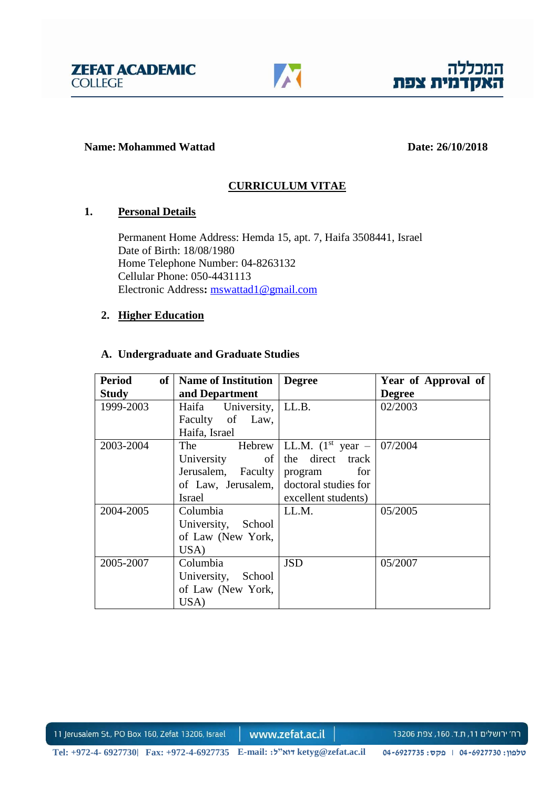



#### **Name: Mohammed Wattad Date: 26/10/2018**

# **CURRICULUM VITAE**

## **1. Personal Details**

 Permanent Home Address: Hemda 15, apt. 7, Haifa 3508441, Israel Date of Birth: 18/08/1980 Home Telephone Number: 04-8263132 Cellular Phone: 050-4431113 Electronic Address**:** [mswattad1@gmail.com](mailto:mswattad1@gmail.com)

## **2. Higher Education**

## **A. Undergraduate and Graduate Studies**

| Period<br>of <sub>1</sub> | <b>Name of Institution</b>              | <b>Degree</b>                               | Year of Approval of |
|---------------------------|-----------------------------------------|---------------------------------------------|---------------------|
| <b>Study</b>              | and Department                          |                                             | <b>Degree</b>       |
| 1999-2003                 | Haifa University,   LL.B.               |                                             | 02/2003             |
|                           | Faculty of Law,                         |                                             |                     |
|                           | Haifa, Israel                           |                                             |                     |
| 2003-2004                 | The                                     | Hebrew   LL.M. $(1^{st}$ year $-$   07/2004 |                     |
|                           | University<br>$of \mid$                 | the direct track                            |                     |
|                           | Jerusalem, Faculty                      | for<br>program                              |                     |
|                           | of Law, Jerusalem, doctoral studies for |                                             |                     |
|                           | Israel                                  | excellent students)                         |                     |
| 2004-2005                 | Columbia                                | LL.M.                                       | 05/2005             |
|                           | University, School                      |                                             |                     |
|                           | of Law (New York,                       |                                             |                     |
|                           | USA)                                    |                                             |                     |
| 2005-2007                 | Columbia                                | <b>JSD</b>                                  | 05/2007             |
|                           | University, School                      |                                             |                     |
|                           | of Law (New York,                       |                                             |                     |
|                           | USA)                                    |                                             |                     |

11 Jerusalem St., PO Box 160, Zefat 13206, Israel

www.zefat.ac.il

רח׳ ירושלים 11, ת.ד. 160, צפת 13206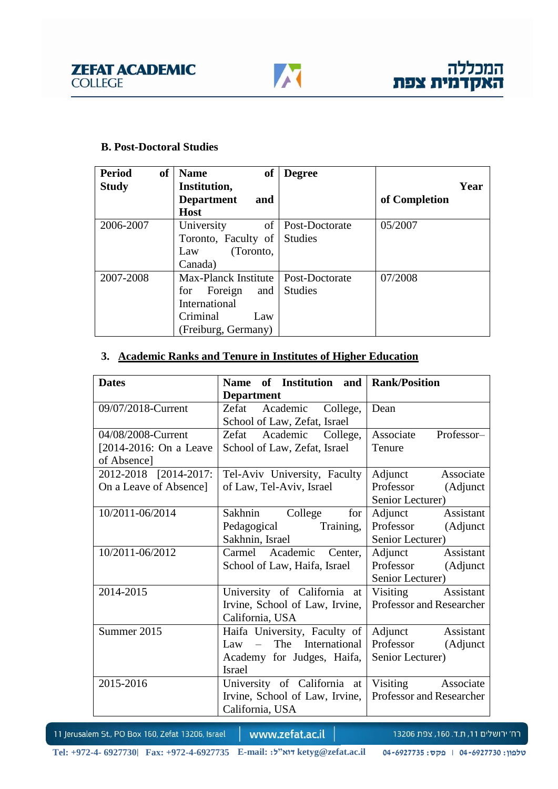#### **B. Post-Doctoral Studies**

| <b>Period</b><br><sub>of</sub> | <b>Name</b><br><sub>of</sub>          | <b>Degree</b>  |               |
|--------------------------------|---------------------------------------|----------------|---------------|
| <b>Study</b>                   | Institution,                          |                | Year          |
|                                | <b>Department</b><br>and              |                | of Completion |
|                                | <b>Host</b>                           |                |               |
| 2006-2007                      | of<br>University                      | Post-Doctorate | 05/2007       |
|                                | Toronto, Faculty of                   | <b>Studies</b> |               |
|                                | (Toronto,<br>Law                      |                |               |
|                                | Canada)                               |                |               |
| 2007-2008                      | Max-Planck Institute   Post-Doctorate |                | 07/2008       |
|                                | Foreign<br>for<br>and                 | <b>Studies</b> |               |
|                                | International                         |                |               |
|                                | Criminal<br>Law                       |                |               |
|                                | (Freiburg, Germany)                   |                |               |

# **3. Academic Ranks and Tenure in Institutes of Higher Education**

| <b>Department</b>              |                                                                                                                                  |  |
|--------------------------------|----------------------------------------------------------------------------------------------------------------------------------|--|
| Zefat Academic College,        | Dean                                                                                                                             |  |
| School of Law, Zefat, Israel   |                                                                                                                                  |  |
| Zefat Academic College,        | Professor-<br>Associate                                                                                                          |  |
| School of Law, Zefat, Israel   | Tenure                                                                                                                           |  |
|                                |                                                                                                                                  |  |
| Tel-Aviv University, Faculty   | Associate<br>Adjunct                                                                                                             |  |
| of Law, Tel-Aviv, Israel       | Professor<br>(Adjunct                                                                                                            |  |
|                                | Senior Lecturer)                                                                                                                 |  |
| Sakhnin<br>College<br>for      | Adjunct<br>Assistant                                                                                                             |  |
| Pedagogical Training,          | Professor<br>(Adjunct                                                                                                            |  |
| Sakhnin, Israel                | Senior Lecturer)                                                                                                                 |  |
| Carmel Academic Center,        | Assistant<br>Adjunct                                                                                                             |  |
| School of Law, Haifa, Israel   | Professor<br>(Adjunct                                                                                                            |  |
| Senior Lecturer)               |                                                                                                                                  |  |
| University of California at    | Visiting Assistant                                                                                                               |  |
| Irvine, School of Law, Irvine, | Professor and Researcher                                                                                                         |  |
| California, USA                |                                                                                                                                  |  |
|                                | Assistant<br>Adjunct                                                                                                             |  |
| Law – The International        | Professor<br>(Adjunct                                                                                                            |  |
| Academy for Judges, Haifa,     | Senior Lecturer)                                                                                                                 |  |
| <b>Israel</b>                  |                                                                                                                                  |  |
| University of California at    | Visiting Associate                                                                                                               |  |
|                                |                                                                                                                                  |  |
| California, USA                |                                                                                                                                  |  |
|                                | Name of Institution and Rank/Position<br>Haifa University, Faculty of<br>Irvine, School of Law, Irvine, Professor and Researcher |  |

11 Jerusalem St., PO Box 160, Zefat 13206, Israel

www.zefat.ac.il

רח׳ ירושלים 11, ת.ד. 160, צפת 13206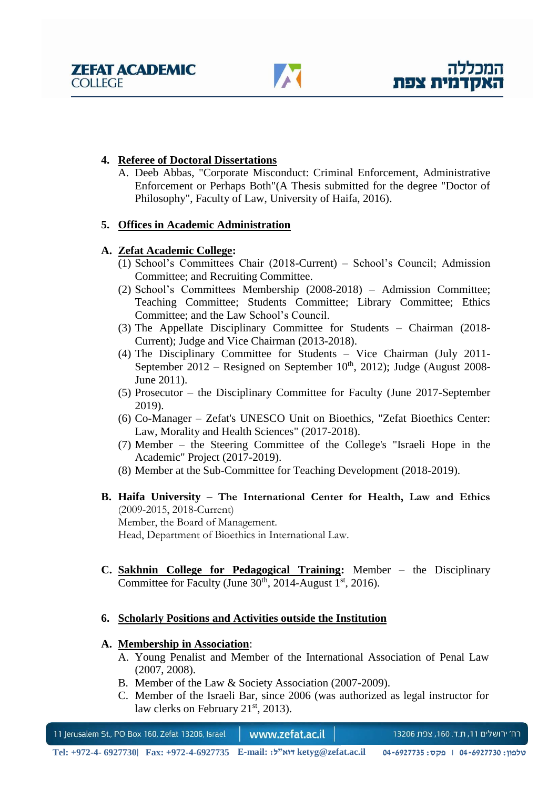## **4. Referee of Doctoral Dissertations**

A. Deeb Abbas, "Corporate Misconduct: Criminal Enforcement, Administrative Enforcement or Perhaps Both"(A Thesis submitted for the degree "Doctor of Philosophy", Faculty of Law, University of Haifa, 2016).

## **5. Offices in Academic Administration**

## **A. Zefat Academic College:**

- (1) School's Committees Chair (2018-Current) School's Council; Admission Committee; and Recruiting Committee.
- (2) School's Committees Membership (2008-2018) Admission Committee; Teaching Committee; Students Committee; Library Committee; Ethics Committee; and the Law School's Council.
- (3) The Appellate Disciplinary Committee for Students Chairman (2018- Current); Judge and Vice Chairman (2013-2018).
- (4) The Disciplinary Committee for Students Vice Chairman (July 2011- September 2012 – Resigned on September  $10<sup>th</sup>$ , 2012); Judge (August 2008-June 2011).
- (5) Prosecutor the Disciplinary Committee for Faculty (June 2017-September 2019).
- (6) Co-Manager Zefat's UNESCO Unit on Bioethics, "Zefat Bioethics Center: Law, Morality and Health Sciences" (2017-2018).
- (7) Member the Steering Committee of the College's "Israeli Hope in the Academic" Project (2017-2019).
- (8) Member at the Sub-Committee for Teaching Development (2018-2019).
- **B. Haifa University – The International Center for Health, Law and Ethics** (2009-2015, 2018-Current) Member, the Board of Management. Head, Department of Bioethics in International Law.
- **C. Sakhnin College for Pedagogical Training:** Member the Disciplinary Committee for Faculty (June  $30<sup>th</sup>$ , 2014-August 1<sup>st</sup>, 2016).

### **6. Scholarly Positions and Activities outside the Institution**

### **A. Membership in Association**:

- A. Young Penalist and Member of the International Association of Penal Law (2007, 2008).
- B. Member of the Law & Society Association (2007-2009).
- C. Member of the Israeli Bar, since 2006 (was authorized as legal instructor for law clerks on February  $21<sup>st</sup>$ , 2013).

11 Jerusalem St., PO Box 160, Zefat 13206, Israel www.zefat.ac.il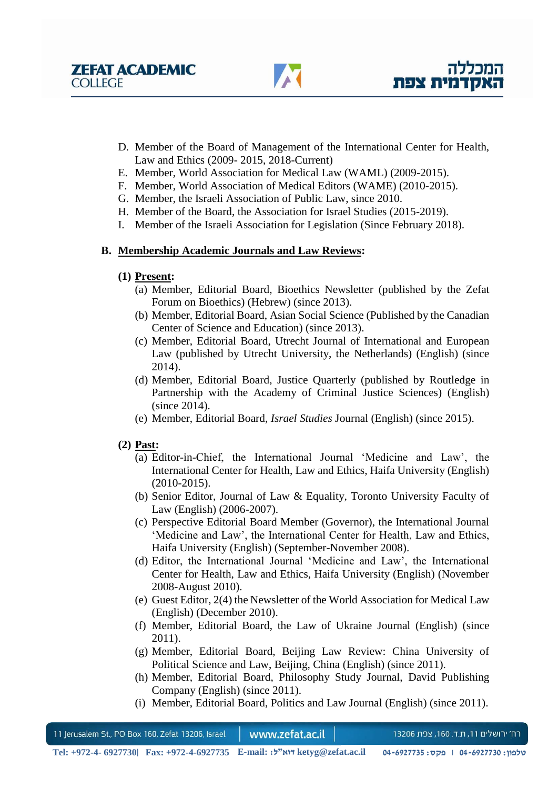- D. Member of the Board of Management of the International Center for Health, Law and Ethics (2009- 2015, 2018-Current)
- E. Member, World Association for Medical Law (WAML) (2009-2015).
- F. Member, World Association of Medical Editors (WAME) (2010-2015).
- G. Member, the Israeli Association of Public Law, since 2010.
- H. Member of the Board, the Association for Israel Studies (2015-2019).
- I. Member of the Israeli Association for Legislation (Since February 2018).

## **B. Membership Academic Journals and Law Reviews:**

## **(1) Present:**

- (a) Member, Editorial Board, Bioethics Newsletter (published by the Zefat Forum on Bioethics) (Hebrew) (since 2013).
- (b) Member, Editorial Board, Asian Social Science (Published by the Canadian Center of Science and Education) (since 2013).
- (c) Member, Editorial Board, Utrecht Journal of International and European Law (published by Utrecht University, the Netherlands) (English) (since 2014).
- (d) Member, Editorial Board, Justice Quarterly (published by Routledge in Partnership with the Academy of Criminal Justice Sciences) (English) (since 2014).
- (e) Member, Editorial Board, *Israel Studies* Journal (English) (since 2015).

## **(2) Past:**

- (a) Editor-in-Chief, the International Journal 'Medicine and Law', the International Center for Health, Law and Ethics, Haifa University (English) (2010-2015).
- (b) Senior Editor, Journal of Law & Equality, Toronto University Faculty of Law (English) (2006-2007).
- (c) Perspective Editorial Board Member (Governor), the International Journal 'Medicine and Law', the International Center for Health, Law and Ethics, Haifa University (English) (September-November 2008).
- (d) Editor, the International Journal 'Medicine and Law', the International Center for Health, Law and Ethics, Haifa University (English) (November 2008-August 2010).
- (e) Guest Editor, 2(4) the Newsletter of the World Association for Medical Law (English) (December 2010).
- (f) Member, Editorial Board, the Law of Ukraine Journal (English) (since 2011).
- (g) Member, Editorial Board, Beijing Law Review: China University of Political Science and Law, Beijing, China (English) (since 2011).
- (h) Member, Editorial Board, Philosophy Study Journal, David Publishing Company (English) (since 2011).
- (i) Member, Editorial Board, Politics and Law Journal (English) (since 2011).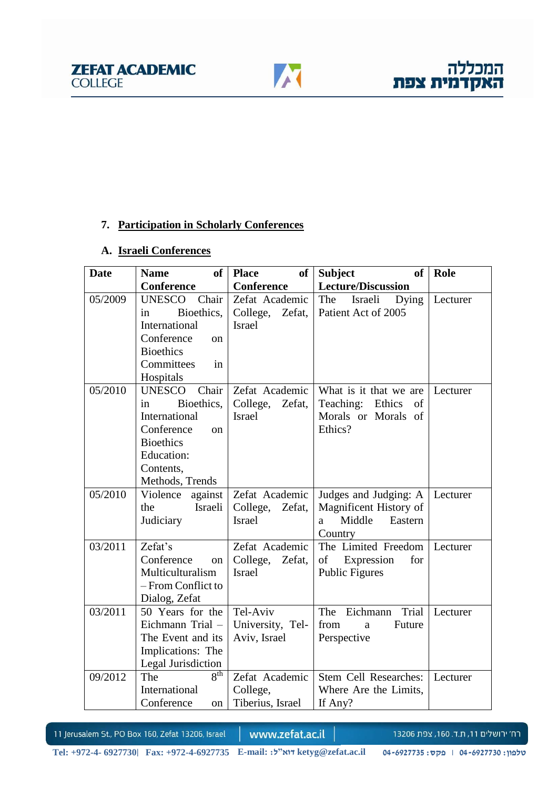## **7. Participation in Scholarly Conferences**

### **A. Israeli Conferences**

| <b>Date</b> | of <sub>1</sub><br><b>Name</b>                                                                                                                    | of<br><b>Place</b>                                    | <b>Subject</b><br>of <sub>1</sub>                                                   | Role     |
|-------------|---------------------------------------------------------------------------------------------------------------------------------------------------|-------------------------------------------------------|-------------------------------------------------------------------------------------|----------|
|             | <b>Conference</b>                                                                                                                                 | <b>Conference</b>                                     | <b>Lecture/Discussion</b>                                                           |          |
| 05/2009     | UNESCO Chair<br>Bioethics,<br>in<br>International<br>Conference<br><sub>on</sub><br><b>Bioethics</b><br>Committees<br>in<br>Hospitals             | Zefat Academic<br>College,<br>Zefat,<br><b>Israel</b> | The Israeli Dying<br>Patient Act of 2005                                            | Lecturer |
| 05/2010     | Chair<br><b>UNESCO</b><br>Bioethics,<br>in<br>International<br>Conference<br>on<br><b>Bioethics</b><br>Education:<br>Contents,<br>Methods, Trends | Zefat Academic<br>College,<br>Zefat,<br><b>Israel</b> | What is it that we are<br>Teaching: Ethics<br>of<br>Morals or Morals of<br>Ethics?  | Lecturer |
| 05/2010     | Violence against<br>Israeli<br>the<br>Judiciary                                                                                                   | Zefat Academic<br>College, Zefat,<br><b>Israel</b>    | Judges and Judging: A<br>Magnificent History of<br>Middle Eastern<br>a a<br>Country | Lecturer |
| 03/2011     | Zefat's<br>Conference<br>on<br>Multiculturalism<br>- From Conflict to<br>Dialog, Zefat                                                            | Zefat Academic<br>College, Zefat,<br><b>Israel</b>    | The Limited Freedom<br>of Expression<br>for<br>Public Figures                       | Lecturer |
| 03/2011     | 50 Years for the<br>Eichmann Trial -<br>The Event and its<br>Implications: The<br>Legal Jurisdiction                                              | Tel-Aviv<br>University, Tel-<br>Aviv, Israel          | Eichmann Trial<br>The<br>from<br>Future<br>a<br>Perspective                         | Lecturer |
| 09/2012     | 8 <sup>th</sup><br>The<br>International<br>Conference<br>on                                                                                       | Zefat Academic<br>College,<br>Tiberius, Israel        | Stem Cell Researches:<br>Where Are the Limits,<br>If Any?                           | Lecturer |

11 Jerusalem St., PO Box 160, Zefat 13206, Israel

www.zefat.ac.il

רח׳ ירושלים 11, ת.ד. 160, צפת 13206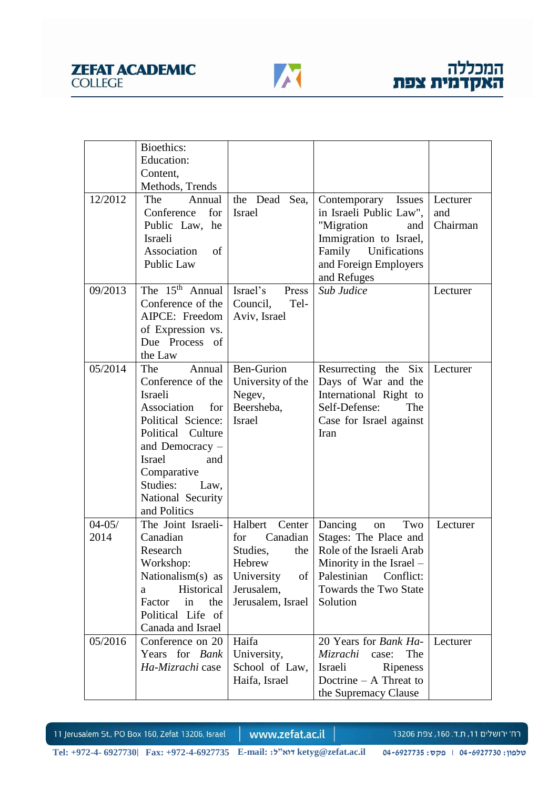



|                    | Bioethics:<br>Education:<br>Content,<br>Methods, Trends                                                                                                                                                                             |                                                                                                                            |                                                                                                                                                                        |                             |
|--------------------|-------------------------------------------------------------------------------------------------------------------------------------------------------------------------------------------------------------------------------------|----------------------------------------------------------------------------------------------------------------------------|------------------------------------------------------------------------------------------------------------------------------------------------------------------------|-----------------------------|
| 12/2012            | The<br>Annual<br>Conference<br>for<br>Public Law, he<br>Israeli<br>Association<br>of<br><b>Public Law</b>                                                                                                                           | the Dead<br>Sea,<br><b>Israel</b>                                                                                          | Contemporary Issues<br>in Israeli Public Law",<br>"Migration<br>and<br>Immigration to Israel,<br>Family<br>Unifications<br>and Foreign Employers<br>and Refuges        | Lecturer<br>and<br>Chairman |
| 09/2013            | The $15th$ Annual<br>Conference of the<br>AIPCE: Freedom<br>of Expression vs.<br>Due Process of<br>the Law                                                                                                                          | Israel's<br>Press<br>Council,<br>Tel-<br>Aviv, Israel                                                                      | Sub Judice                                                                                                                                                             | Lecturer                    |
| 05/2014            | Annual<br>The<br>Conference of the<br>Israeli<br>Association<br>for<br>Political Science:<br>Political Culture<br>and Democracy $-$<br><b>Israel</b><br>and<br>Comparative<br>Studies:<br>Law,<br>National Security<br>and Politics | <b>Ben-Gurion</b><br>University of the<br>Negev,<br>Beersheba,<br><b>Israel</b>                                            | Resurrecting the Six<br>Days of War and the<br>International Right to<br>Self-Defense:<br>The<br>Case for Israel against<br>Iran                                       | Lecturer                    |
| $04 - 05/$<br>2014 | The Joint Israeli-<br>Canadian<br>Research<br>Workshop:<br>Nationalism(s) as<br>Historical<br>a<br>Factor<br>the<br>in<br>Political Life of<br>Canada and Israel                                                                    | Halbert<br>Center  <br>Canadian<br>for<br>Studies.<br>the<br>Hebrew<br>University<br>of<br>Jerusalem,<br>Jerusalem, Israel | Two<br>Dancing<br>on<br>Stages: The Place and<br>Role of the Israeli Arab<br>Minority in the Israel -<br>Palestinian<br>Conflict:<br>Towards the Two State<br>Solution | Lecturer                    |
| 05/2016            | Conference on 20<br>Years for Bank<br>Ha-Mizrachi case                                                                                                                                                                              | Haifa<br>University,<br>School of Law,<br>Haifa, Israel                                                                    | 20 Years for <i>Bank Ha-</i><br>Mizrachi<br>case:<br>The<br>Israeli<br>Ripeness<br>Doctrine $- A$ Threat to<br>the Supremacy Clause                                    | Lecturer                    |

www.zefat.ac.il

רח׳ ירושלים 11, ת.ד. 160, צפת 13206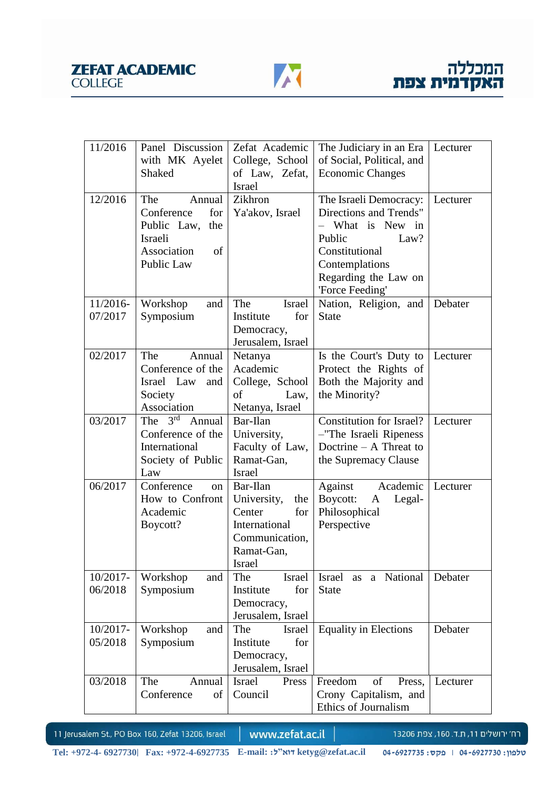

| 11/2016    | Panel Discussion                 | Zefat Academic         | The Judiciary in an Era      | Lecturer |
|------------|----------------------------------|------------------------|------------------------------|----------|
|            | with MK Ayelet                   | College, School        | of Social, Political, and    |          |
|            | Shaked                           | of Law, Zefat,         | <b>Economic Changes</b>      |          |
|            |                                  | <b>Israel</b>          |                              |          |
| 12/2016    | The<br>Annual                    | Zikhron                | The Israeli Democracy:       | Lecturer |
|            | Conference<br>for                | Ya'akov, Israel        | Directions and Trends"       |          |
|            | Public Law,<br>the               |                        | What is New in               |          |
|            | Israeli                          |                        | Public<br>Law?               |          |
|            | Association<br>of                |                        | Constitutional               |          |
|            | Public Law                       |                        | Contemplations               |          |
|            |                                  |                        | Regarding the Law on         |          |
|            |                                  |                        | 'Force Feeding'              |          |
| $11/2016-$ | Workshop<br>and                  | The<br>Israel          | Nation, Religion, and        | Debater  |
| 07/2017    | Symposium                        | for<br>Institute       | <b>State</b>                 |          |
|            |                                  | Democracy,             |                              |          |
|            |                                  | Jerusalem, Israel      |                              |          |
| 02/2017    | The<br>Annual                    | Netanya                | Is the Court's Duty to       | Lecturer |
|            | Conference of the                | Academic               | Protect the Rights of        |          |
|            | Israel Law<br>and                | College, School        | Both the Majority and        |          |
|            | Society                          | Law,<br>οf             | the Minority?                |          |
|            | Association                      | Netanya, Israel        |                              |          |
| 03/2017    | $3^{\text{rd}}$<br>The<br>Annual | Bar-Ilan               | Constitution for Israel?     | Lecturer |
|            | Conference of the                | University,            | -"The Israeli Ripeness       |          |
|            | International                    | Faculty of Law,        | Doctrine $- A$ Threat to     |          |
|            | Society of Public                | Ramat-Gan,             | the Supremacy Clause         |          |
|            | Law                              | <b>Israel</b>          |                              |          |
| 06/2017    | Conference<br><sub>on</sub>      | Bar-Ilan               | Against<br>Academic          | Lecturer |
|            | How to Confront                  | University,<br>the     | Boycott:<br>Legal-<br>A      |          |
|            | Academic                         | for<br>Center          | Philosophical                |          |
|            | Boycott?                         | International          | Perspective                  |          |
|            |                                  | Communication,         |                              |          |
|            |                                  | Ramat-Gan,             |                              |          |
|            |                                  | Israel                 |                              |          |
| 10/2017-   | Workshop<br>and                  | The<br>Israel          | Israel as a National         | Debater  |
| 06/2018    | Symposium                        | for<br>Institute       | <b>State</b>                 |          |
|            |                                  | Democracy,             |                              |          |
|            |                                  | Jerusalem, Israel      |                              |          |
| 10/2017-   | Workshop<br>and                  | The<br>Israel          | <b>Equality in Elections</b> | Debater  |
| 05/2018    | Symposium                        | for<br>Institute       |                              |          |
|            |                                  | Democracy,             |                              |          |
|            |                                  | Jerusalem, Israel      |                              |          |
| 03/2018    | The<br>Annual                    | <b>Israel</b><br>Press | Freedom<br>of<br>Press,      | Lecturer |
|            | Conference<br>of                 | Council                | Crony Capitalism, and        |          |
|            |                                  |                        | Ethics of Journalism         |          |

www.zefat.ac.il

רח׳ ירושלים 11, ת.ד. 160, צפת 13206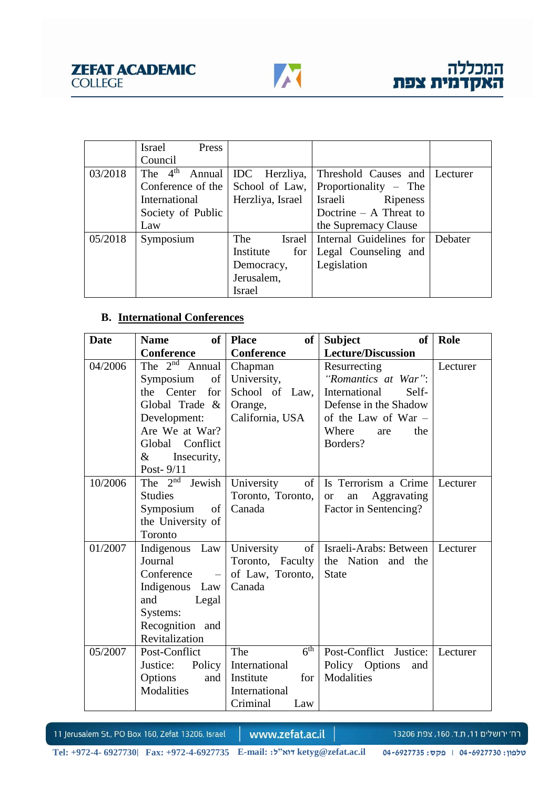

|         | Israel<br>Press            |                  |                               |         |
|---------|----------------------------|------------------|-------------------------------|---------|
|         | Council                    |                  |                               |         |
| 03/2018 | The 4 <sup>th</sup> Annual | IDC Herzliya,    | Threshold Causes and Lecturer |         |
|         | Conference of the          | School of Law,   | Proportionality – The         |         |
|         | International              | Herzliya, Israel | Ripeness<br>Israeli           |         |
|         | Society of Public          |                  | Doctrine $- A$ Threat to      |         |
|         | Law                        |                  | the Supremacy Clause          |         |
| 05/2018 | Symposium                  | The<br>Israel    | Internal Guidelines for       | Debater |
|         |                            | Institute<br>for | Legal Counseling and          |         |
|         |                            | Democracy,       | Legislation                   |         |
|         |                            | Jerusalem,       |                               |         |
|         |                            | <b>Israel</b>    |                               |         |

# **B. International Conferences**

| <b>Date</b> | of <sub>1</sub><br><b>Name</b>                                                                                  | of<br><b>Place</b>                | <b>Subject</b><br>of           | Role     |
|-------------|-----------------------------------------------------------------------------------------------------------------|-----------------------------------|--------------------------------|----------|
|             | <b>Conference</b>                                                                                               | <b>Conference</b>                 | <b>Lecture/Discussion</b>      |          |
| 04/2006     | The $2^{nd}$ Annual                                                                                             | Chapman                           | Resurrecting                   | Lecturer |
|             | $% \left( \left( \mathcal{A},\mathcal{A}\right) \right) =\left( \mathcal{A},\mathcal{A}\right)$ of<br>Symposium | University,                       | "Romantics at War":            |          |
|             | the Center<br>for                                                                                               | School of Law,                    | International<br>Self-         |          |
|             | Global Trade &                                                                                                  | Orange,                           | Defense in the Shadow          |          |
|             | Development:                                                                                                    | California, USA                   | of the Law of War $-$          |          |
|             | Are We at War?                                                                                                  |                                   | Where<br>the<br>are            |          |
|             | Global Conflict                                                                                                 |                                   | Borders?                       |          |
|             | &<br>Insecurity,                                                                                                |                                   |                                |          |
|             | Post-9/11                                                                                                       |                                   |                                |          |
| 10/2006     | The $2^{nd}$ Jewish                                                                                             | University<br>of 1                | Is Terrorism a Crime           | Lecturer |
|             | <b>Studies</b>                                                                                                  | Toronto, Toronto,                 | Aggravating<br><b>or</b><br>an |          |
|             | $% \left( \left( \mathcal{A},\mathcal{A}\right) \right) =\left( \mathcal{A},\mathcal{A}\right)$ of<br>Symposium | Canada                            | Factor in Sentencing?          |          |
|             | the University of                                                                                               |                                   |                                |          |
|             | Toronto                                                                                                         |                                   |                                |          |
| 01/2007     | Indigenous Law                                                                                                  | University                        | of   Israeli-Arabs: Between    | Lecturer |
|             | Journal                                                                                                         | Toronto, Faculty                  | the Nation and the             |          |
|             | Conference<br>$\equiv$                                                                                          | of Law, Toronto,                  | <b>State</b>                   |          |
|             | Indigenous Law                                                                                                  | Canada                            |                                |          |
|             | and<br>Legal                                                                                                    |                                   |                                |          |
|             | Systems:                                                                                                        |                                   |                                |          |
|             | Recognition and                                                                                                 |                                   |                                |          |
|             | Revitalization                                                                                                  |                                   |                                |          |
| 05/2007     | Post-Conflict                                                                                                   | $6^{\overline{\text{th}}}$<br>The | Post-Conflict Justice:         | Lecturer |
|             | Justice:<br>Policy                                                                                              | International                     | Policy Options<br>and          |          |
|             | Options<br>and                                                                                                  | Institute<br>for                  | Modalities                     |          |
|             | Modalities                                                                                                      | International                     |                                |          |
|             |                                                                                                                 | Criminal<br>Law                   |                                |          |

11 Jerusalem St., PO Box 160, Zefat 13206, Israel

www.zefat.ac.il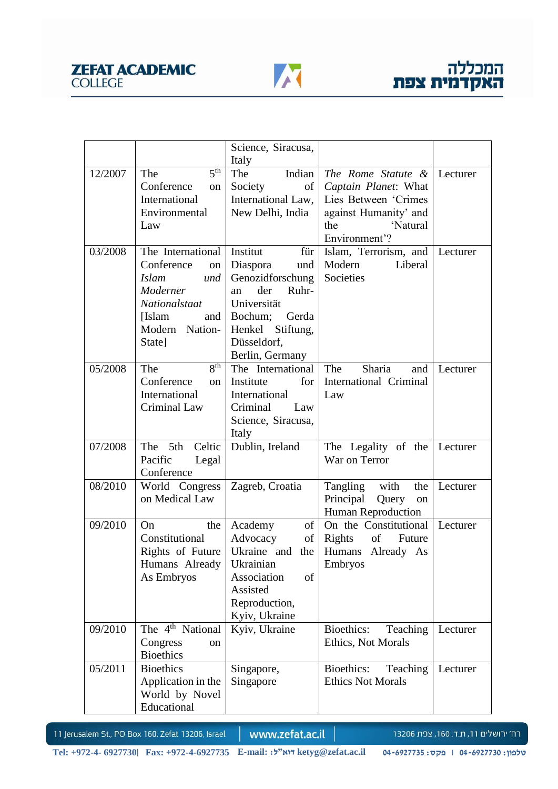

|         |                                  | Science, Siracusa,     |                                               |          |
|---------|----------------------------------|------------------------|-----------------------------------------------|----------|
|         |                                  | Italy                  |                                               |          |
| 12/2007 | 5 <sup>th</sup><br>The           | Indian<br>The          | The Rome Statute &                            | Lecturer |
|         | Conference<br>on                 | Society<br>of          | Captain Planet: What                          |          |
|         | International                    | International Law,     | Lies Between 'Crimes                          |          |
|         | Environmental                    | New Delhi, India       | against Humanity' and                         |          |
|         | Law                              |                        | the<br>'Natural                               |          |
|         |                                  |                        | Environment'?                                 |          |
| 03/2008 | The International   Institut     | für                    | Islam, Terrorism, and   Lecturer              |          |
|         | Conference<br>on                 | Diaspora<br>und        | Modern<br>Liberal                             |          |
|         | Islam<br>und                     | Genozidforschung       | Societies                                     |          |
|         | Moderner                         | der<br>Ruhr-<br>an     |                                               |          |
|         | Nationalstaat                    | Universität            |                                               |          |
|         | [Islam]                          | and   Bochum;<br>Gerda |                                               |          |
|         | Modern Nation-                   | Henkel Stiftung,       |                                               |          |
|         | State]                           | Düsseldorf,            |                                               |          |
|         |                                  | Berlin, Germany        |                                               |          |
| 05/2008 | 8 <sup>th</sup><br>The           | The International      | The<br>Sharia<br>and                          | Lecturer |
|         | Conference<br>on                 | Institute<br>for       | International Criminal                        |          |
|         | International                    | International          | Law                                           |          |
|         | Criminal Law                     | Criminal<br>Law        |                                               |          |
|         |                                  | Science, Siracusa,     |                                               |          |
|         |                                  | Italy                  |                                               |          |
| 07/2008 | The 5th<br>Celtic                | Dublin, Ireland        | The Legality of the Lecturer<br>War on Terror |          |
|         | Pacific<br>Legal                 |                        |                                               |          |
| 08/2010 | Conference                       |                        |                                               |          |
|         | World Congress<br>on Medical Law | Zagreb, Croatia        | Tangling with<br>the<br>Principal<br>Query    | Lecturer |
|         |                                  |                        | on<br>Human Reproduction                      |          |
| 09/2010 | the<br>On                        | of  <br>Academy        | On the Constitutional   Lecturer              |          |
|         | Constitutional                   | Advocacy<br>of         | Rights<br>of Future                           |          |
|         | Rights of Future                 | Ukraine and<br>the     | Humans Already As                             |          |
|         | Humans Already                   | Ukrainian              | Embryos                                       |          |
|         | As Embryos                       | Association<br>of      |                                               |          |
|         |                                  | Assisted               |                                               |          |
|         |                                  | Reproduction,          |                                               |          |
|         |                                  | Kyiv, Ukraine          |                                               |          |
| 09/2010 | The 4 <sup>th</sup> National     | Kyiv, Ukraine          | Bioethics:<br>Teaching                        | Lecturer |
|         | Congress<br>on                   |                        | Ethics, Not Morals                            |          |
|         | <b>Bioethics</b>                 |                        |                                               |          |
| 05/2011 | <b>Bioethics</b>                 | Singapore,             | Bioethics:<br>Teaching                        | Lecturer |
|         | Application in the               | Singapore              | <b>Ethics Not Morals</b>                      |          |
|         | World by Novel                   |                        |                                               |          |
|         | Educational                      |                        |                                               |          |

www.zefat.ac.il

רח׳ ירושלים 11, ת.ד. 160, צפת 13206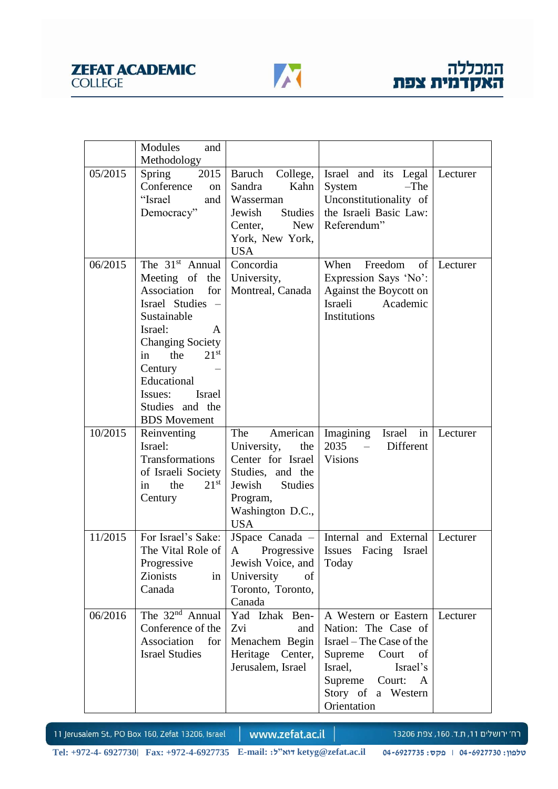



|         | Modules<br>and                                                                                                                                                                                                                                                                                        |                                                                                                                                                          |                                                                                                                                                                                   |          |
|---------|-------------------------------------------------------------------------------------------------------------------------------------------------------------------------------------------------------------------------------------------------------------------------------------------------------|----------------------------------------------------------------------------------------------------------------------------------------------------------|-----------------------------------------------------------------------------------------------------------------------------------------------------------------------------------|----------|
|         | Methodology                                                                                                                                                                                                                                                                                           |                                                                                                                                                          |                                                                                                                                                                                   |          |
| 05/2015 | 2015<br>Spring<br>Conference<br>on<br>"Israel<br>and<br>Democracy"                                                                                                                                                                                                                                    | Baruch College,<br>Sandra<br>Kahn<br>Wasserman<br>Studies<br>Jewish<br>New  <br>Center,<br>York, New York,<br><b>USA</b>                                 | Israel and its Legal Lecturer<br>System<br>$-The$<br>Unconstitutionality of<br>the Israeli Basic Law:<br>Referendum"                                                              |          |
| 06/2015 | The 31 <sup>st</sup> Annual<br>Meeting of the<br>Association<br>for<br>Israel Studies<br>$\overline{\phantom{0}}$<br>Sustainable<br>Israel:<br>A<br><b>Changing Society</b><br>the<br>21 <sup>st</sup><br>in<br>Century<br>Educational<br>Issues:<br>Israel<br>Studies and the<br><b>BDS</b> Movement | Concordia<br>University,<br>Montreal, Canada                                                                                                             | Freedom<br>When<br>of<br>Expression Says 'No':<br>Against the Boycott on<br>Israeli Academic<br>Institutions                                                                      | Lecturer |
| 10/2015 | Reinventing<br>Israel:<br>Transformations<br>of Israeli Society<br>$21^{st}$<br>the<br>in.<br>Century                                                                                                                                                                                                 | American<br>The<br>University,<br>the<br>Center for Israel<br>Studies, and the<br>Jewish<br><b>Studies</b><br>Program,<br>Washington D.C.,<br><b>USA</b> | Imagining<br>Israel in<br>2035<br>Different<br>$\equiv$<br><b>Visions</b>                                                                                                         | Lecturer |
| 11/2015 | For Israel's Sake:<br>The Vital Role of<br>Progressive<br>Zionists<br>in<br>Canada                                                                                                                                                                                                                    | Progressive<br>A<br>Jewish Voice, and<br>University<br>of<br>Toronto, Toronto,<br>Canada                                                                 | JSpace Canada $-$ Internal and External<br>Issues Facing Israel<br>Today                                                                                                          | Lecturer |
| 06/2016 | The $32nd$ Annual<br>Conference of the<br>Association<br>for<br><b>Israel Studies</b>                                                                                                                                                                                                                 | Yad Izhak Ben-<br>Zvi<br>and<br>Menachem Begin<br>Heritage Center,<br>Jerusalem, Israel                                                                  | A Western or Eastern<br>Nation: The Case of<br>Israel – The Case of the<br>Supreme<br>Court<br>of<br>Israel,<br>Israel's<br>Supreme Court: A<br>Story of a Western<br>Orientation | Lecturer |

www.zefat.ac.il

רח׳ ירושלים 11, ת.ד. 160, צפת 13206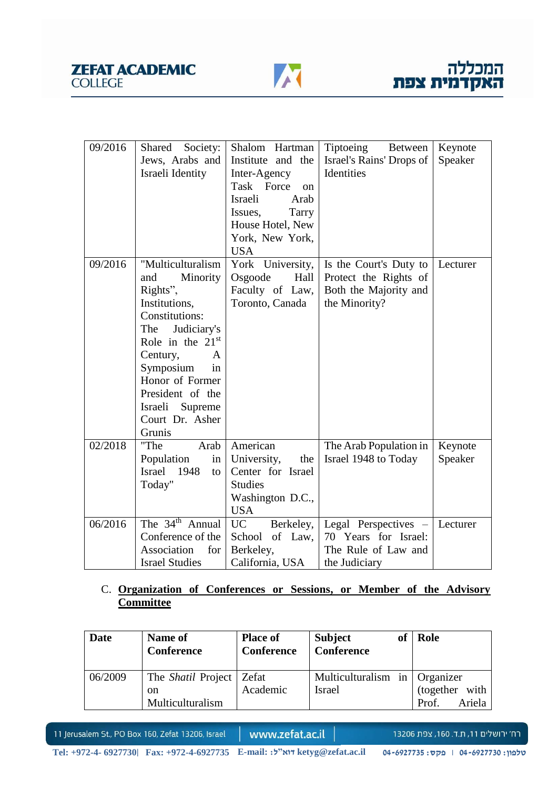



| 09/2016 | Shared<br>Society:          | Shalom Hartman              | <b>Tiptoeing</b><br><b>Between</b> | Keynote  |
|---------|-----------------------------|-----------------------------|------------------------------------|----------|
|         | Jews, Arabs and             | Institute and the           | Israel's Rains' Drops of           | Speaker  |
|         | Israeli Identity            | Inter-Agency                | Identities                         |          |
|         |                             | Task Force<br><sub>on</sub> |                                    |          |
|         |                             | Israeli<br>Arab             |                                    |          |
|         |                             | Tarry<br>Issues,            |                                    |          |
|         |                             | House Hotel, New            |                                    |          |
|         |                             | York, New York,             |                                    |          |
|         |                             | <b>USA</b>                  |                                    |          |
| 09/2016 | "Multiculturalism           | York University,            | Is the Court's Duty to             | Lecturer |
|         | Minority<br>and             | Osgoode<br>Hall             | Protect the Rights of              |          |
|         | Rights",                    | Faculty of Law,             | Both the Majority and              |          |
|         | Institutions,               | Toronto, Canada             | the Minority?                      |          |
|         | Constitutions:              |                             |                                    |          |
|         | The<br>Judiciary's          |                             |                                    |          |
|         | Role in the 21st            |                             |                                    |          |
|         | Century,<br>A               |                             |                                    |          |
|         | Symposium<br>in             |                             |                                    |          |
|         | Honor of Former             |                             |                                    |          |
|         | President of the            |                             |                                    |          |
|         | Israeli<br>Supreme          |                             |                                    |          |
|         | Court Dr. Asher             |                             |                                    |          |
|         | Grunis                      |                             |                                    |          |
| 02/2018 | "The<br>Arab                | American                    | The Arab Population in             | Keynote  |
|         | Population<br>in            | University,<br>the          | Israel 1948 to Today               | Speaker  |
|         | 1948<br><b>Israel</b><br>to | Center for Israel           |                                    |          |
|         | Today"                      | <b>Studies</b>              |                                    |          |
|         |                             | Washington D.C.,            |                                    |          |
|         |                             | <b>USA</b>                  |                                    |          |
| 06/2016 | The $34th$ Annual           | UC<br>Berkeley,             | Legal Perspectives -               | Lecturer |
|         | Conference of the           | School<br>of Law,           | 70 Years for Israel:               |          |
|         | Association<br>for          | Berkeley,                   | The Rule of Law and                |          |
|         | <b>Israel Studies</b>       | California, USA             | the Judiciary                      |          |

# C. **Organization of Conferences or Sessions, or Member of the Advisory Committee**

| <b>Date</b> | Name of<br>Conference                                       | <b>Place of</b><br>Conference | <b>Subject</b><br><b>Conference</b>            | <sub>of</sub> | Role                              |
|-------------|-------------------------------------------------------------|-------------------------------|------------------------------------------------|---------------|-----------------------------------|
| 06/2009     | The <i>Shatil</i> Project   Zefat<br>on<br>Multiculturalism | Academic                      | Multiculturalism in Organizer<br><b>Israel</b> |               | (together with<br>Ariela<br>Prof. |

11 Jerusalem St., PO Box 160, Zefat 13206, Israel

www.zefat.ac.il

רח׳ ירושלים 11, ת.ד. 160, צפת 13206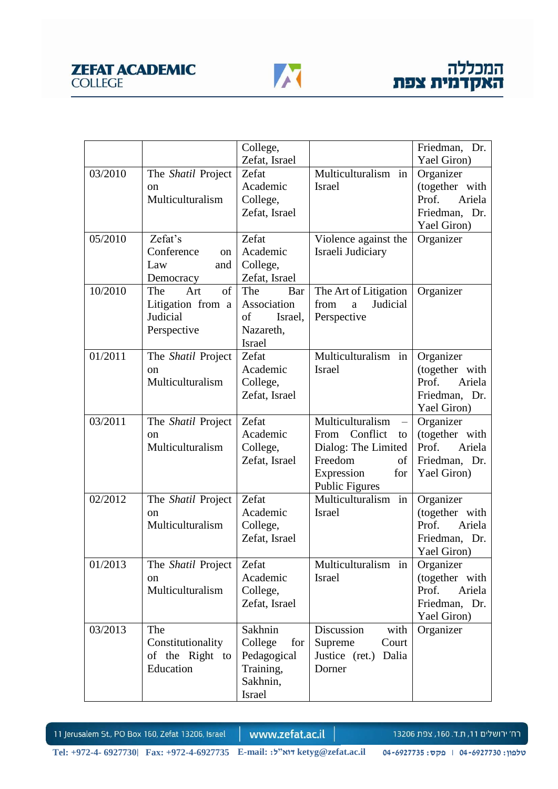

|         |                             | College,       |                                  | Friedman, Dr.   |
|---------|-----------------------------|----------------|----------------------------------|-----------------|
|         |                             | Zefat, Israel  |                                  | Yael Giron)     |
| 03/2010 | The Shatil Project          | Zefat          | Multiculturalism in              | Organizer       |
|         | on                          | Academic       | <b>Israel</b>                    | (together with  |
|         | Multiculturalism            | College,       |                                  | Prof.<br>Ariela |
|         |                             | Zefat, Israel  |                                  | Friedman, Dr.   |
|         |                             |                |                                  | Yael Giron)     |
| 05/2010 | Zefat's                     | Zefat          | Violence against the             | Organizer       |
|         | Conference<br><sub>on</sub> | Academic       | Israeli Judiciary                |                 |
|         | Law<br>and                  | College,       |                                  |                 |
|         | Democracy                   | Zefat, Israel  |                                  |                 |
| 10/2010 | The<br>Art<br>of            | The<br>Bar     | The Art of Litigation            | Organizer       |
|         | Litigation from a           | Association    | Judicial<br>from<br>$\mathbf{a}$ |                 |
|         | Judicial                    | of<br>Israel,  | Perspective                      |                 |
|         | Perspective                 | Nazareth,      |                                  |                 |
|         |                             | <b>Israel</b>  |                                  |                 |
| 01/2011 | The Shatil Project          | Zefat          | Multiculturalism in              | Organizer       |
|         | on                          | Academic       | <b>Israel</b>                    | (together with  |
|         | Multiculturalism            | College,       |                                  | Prof.<br>Ariela |
|         |                             | Zefat, Israel  |                                  | Friedman, Dr.   |
|         |                             |                |                                  | Yael Giron)     |
| 03/2011 | The Shatil Project          | Zefat          | Multiculturalism                 | Organizer       |
|         | on                          | Academic       | Conflict<br>From<br>to           | (together with  |
|         | Multiculturalism            | College,       | Dialog: The Limited              | Ariela<br>Prof. |
|         |                             | Zefat, Israel  | Freedom<br>of                    | Friedman, Dr.   |
|         |                             |                | Expression<br>for                | Yael Giron)     |
|         |                             |                | <b>Public Figures</b>            |                 |
| 02/2012 | The <i>Shatil</i> Project   | Zefat          | Multiculturalism in              | Organizer       |
|         | on                          | Academic       | <b>Israel</b>                    | (together with  |
|         | Multiculturalism            | College,       |                                  | Prof.<br>Ariela |
|         |                             | Zefat, Israel  |                                  | Friedman, Dr.   |
|         |                             |                |                                  | Yael Giron)     |
| 01/2013 | The <i>Shatil</i> Project   | Zefat          | Multiculturalism in              | Organizer       |
|         | on                          | Academic       | Israel                           | (together with  |
|         | Multiculturalism            | College,       |                                  | Prof.<br>Ariela |
|         |                             | Zefat, Israel  |                                  | Friedman, Dr.   |
|         |                             |                |                                  | Yael Giron)     |
| 03/2013 | The                         | Sakhnin        | with<br>Discussion               | Organizer       |
|         | Constitutionality           | College<br>for | Supreme<br>Court                 |                 |
|         | of the Right to             | Pedagogical    | Justice (ret.)<br>Dalia          |                 |
|         | Education                   | Training,      | Dorner                           |                 |
|         |                             | Sakhnin,       |                                  |                 |
|         |                             | Israel         |                                  |                 |

www.zefat.ac.il

רח׳ ירושלים 11, ת.ד. 160, צפת 13206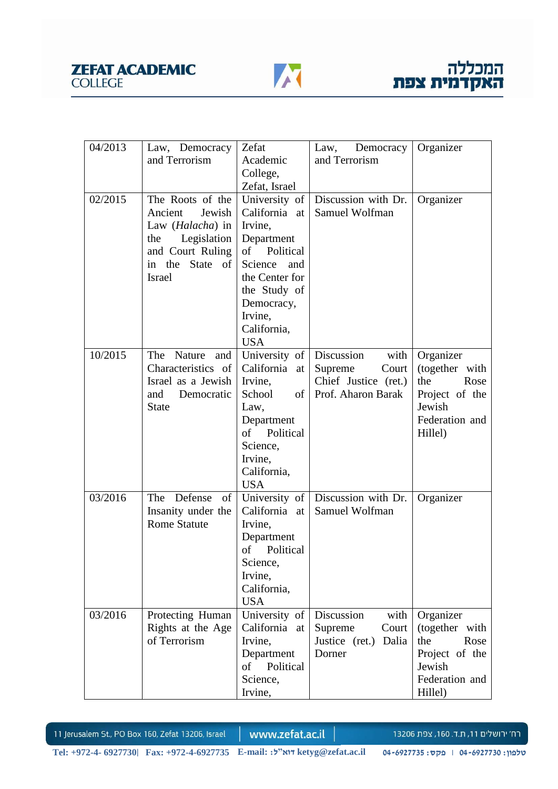



| 04/2013 | Law, Democracy            | Zefat                  | Democracy<br>Law,       | Organizer      |
|---------|---------------------------|------------------------|-------------------------|----------------|
|         | and Terrorism             | Academic               | and Terrorism           |                |
|         |                           | College,               |                         |                |
|         |                           | Zefat, Israel          |                         |                |
| 02/2015 | The Roots of the          | University of          | Discussion with Dr.     | Organizer      |
|         | Jewish<br>Ancient         | California at          | Samuel Wolfman          |                |
|         | Law ( <i>Halacha</i> ) in | Irvine,                |                         |                |
|         | Legislation<br>the        | Department             |                         |                |
|         | and Court Ruling          | of Political           |                         |                |
|         | in the<br>State of        | Science<br>and         |                         |                |
|         | <b>Israel</b>             | the Center for         |                         |                |
|         |                           | the Study of           |                         |                |
|         |                           | Democracy,             |                         |                |
|         |                           | Irvine,                |                         |                |
|         |                           | California,            |                         |                |
|         |                           | <b>USA</b>             |                         |                |
| 10/2015 | Nature<br>The<br>and      | University of          | Discussion<br>with      | Organizer      |
|         | Characteristics of        | California at          | Supreme<br>Court        | (together with |
|         | Israel as a Jewish        | Irvine,                | Chief Justice (ret.)    | the<br>Rose    |
|         | and<br>Democratic         | School<br>of           | Prof. Aharon Barak      | Project of the |
|         | <b>State</b>              | Law,                   |                         | Jewish         |
|         |                           | Department             |                         | Federation and |
|         |                           | of<br>Political        |                         | Hillel)        |
|         |                           | Science,               |                         |                |
|         |                           | Irvine,<br>California, |                         |                |
|         |                           | <b>USA</b>             |                         |                |
| 03/2016 | The Defense<br>of         | University of          | Discussion with Dr.     | Organizer      |
|         | Insanity under the        | California at          | Samuel Wolfman          |                |
|         | <b>Rome Statute</b>       | Irvine,                |                         |                |
|         |                           | Department             |                         |                |
|         |                           | of Political           |                         |                |
|         |                           | Science,               |                         |                |
|         |                           | Irvine,                |                         |                |
|         |                           | California,            |                         |                |
|         |                           | <b>USA</b>             |                         |                |
| 03/2016 | Protecting Human          | University of          | with<br>Discussion      | Organizer      |
|         | Rights at the Age         | California at          | Court<br>Supreme        | (together with |
|         | of Terrorism              | Irvine,                | Justice (ret.)<br>Dalia | the<br>Rose    |
|         |                           | Department             | Dorner                  | Project of the |
|         |                           | of<br>Political        |                         | Jewish         |
|         |                           | Science,               |                         | Federation and |
|         |                           | Irvine,                |                         | Hillel)        |

www.zefat.ac.il

רח׳ ירושלים 11, ת.ד. 160, צפת 13206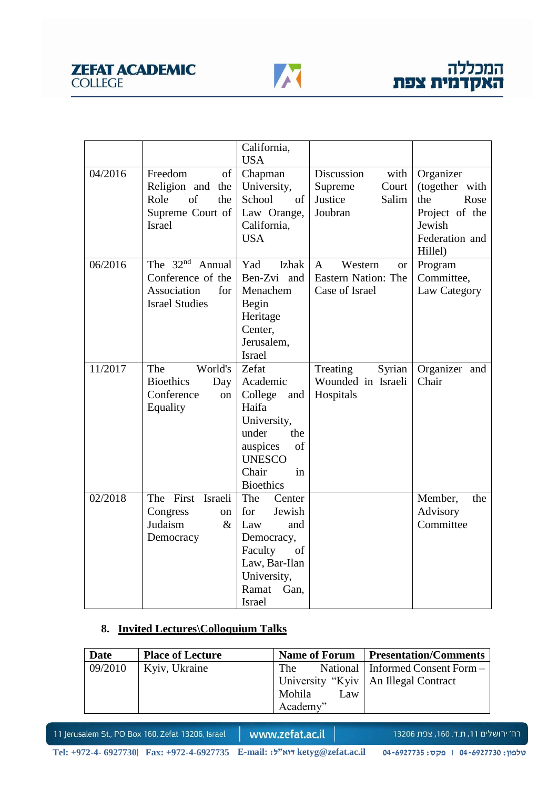



|         |                             | California,      |                                      |                |
|---------|-----------------------------|------------------|--------------------------------------|----------------|
|         |                             | <b>USA</b>       |                                      |                |
| 04/2016 | Freedom<br>of               | Chapman          | Discussion<br>with                   | Organizer      |
|         | Religion and the            | University,      | Supreme<br>Court                     | (together with |
|         | of<br>Role<br>the           | School<br>of     | Justice<br>Salim                     | the<br>Rose    |
|         | Supreme Court of            | Law Orange,      | Joubran                              | Project of the |
|         | <b>Israel</b>               | California,      |                                      | Jewish         |
|         |                             | <b>USA</b>       |                                      | Federation and |
|         |                             |                  |                                      | Hillel)        |
| 06/2016 | The $32nd$<br>Annual        | Izhak<br>Yad     | Western<br>$\mathbf{A}$<br><b>or</b> | Program        |
|         | Conference of the           | Ben-Zvi and      | Eastern Nation: The                  | Committee,     |
|         | Association<br>for          | Menachem         | Case of Israel                       | Law Category   |
|         | <b>Israel Studies</b>       | Begin            |                                      |                |
|         |                             | Heritage         |                                      |                |
|         |                             | Center,          |                                      |                |
|         |                             | Jerusalem,       |                                      |                |
|         |                             | <b>Israel</b>    |                                      |                |
| 11/2017 | World's<br>The              | Zefat            | Treating<br>Syrian                   | Organizer and  |
|         | <b>Bioethics</b><br>Day     | Academic         | Wounded in Israeli                   | Chair          |
|         | Conference<br><sub>on</sub> | College<br>and   | Hospitals                            |                |
|         | Equality                    | Haifa            |                                      |                |
|         |                             | University,      |                                      |                |
|         |                             | under<br>the     |                                      |                |
|         |                             | auspices<br>of   |                                      |                |
|         |                             | <b>UNESCO</b>    |                                      |                |
|         |                             | Chair<br>in      |                                      |                |
|         |                             | <b>Bioethics</b> |                                      |                |
| 02/2018 | The First Israeli           | The<br>Center    |                                      | Member,<br>the |
|         | Congress<br>on              | Jewish<br>for    |                                      | Advisory       |
|         | Judaism<br>$\&$             | Law<br>and       |                                      | Committee      |
|         | Democracy                   | Democracy,       |                                      |                |
|         |                             | Faculty<br>of    |                                      |                |
|         |                             | Law, Bar-Ilan    |                                      |                |
|         |                             | University,      |                                      |                |
|         |                             | Ramat<br>Gan.    |                                      |                |
|         |                             | <b>Israel</b>    |                                      |                |

# **8. Invited Lectures\Colloquium Talks**

| Date    | <b>Place of Lecture</b> | <b>Name of Forum</b> | <b>Presentation/Comments</b>           |
|---------|-------------------------|----------------------|----------------------------------------|
| 09/2010 | Kyiv, Ukraine           | . The                | National   Informed Consent Form –     |
|         |                         |                      | University "Kyiv   An Illegal Contract |
|         |                         | Mohila<br>Law        |                                        |
|         |                         | Academy"             |                                        |

11 Jerusalem St., PO Box 160, Zefat 13206, Israel

www.zefat.ac.il

רח׳ ירושלים 11, ת.ד. 160, צפת 13206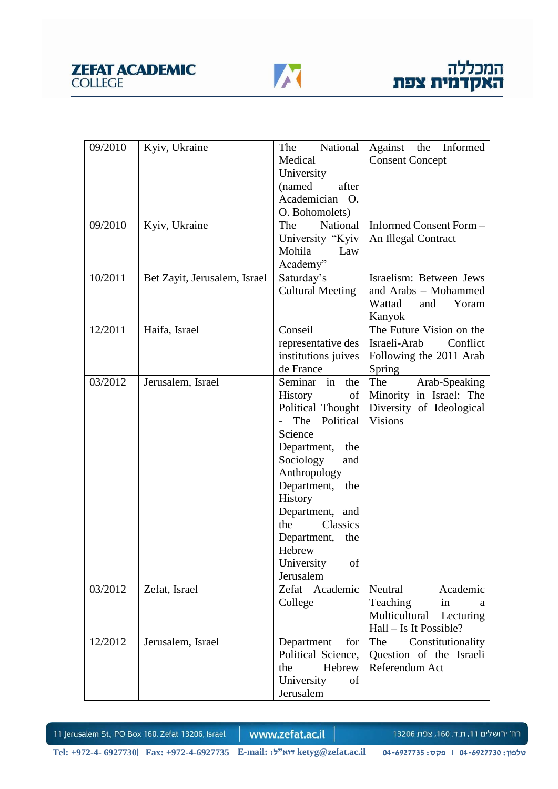



| 09/2010              | Kyiv, Ukraine                | National<br>The                   | Against the Informed       |
|----------------------|------------------------------|-----------------------------------|----------------------------|
|                      |                              | Medical                           | <b>Consent Concept</b>     |
|                      |                              | University                        |                            |
|                      |                              | (named<br>after                   |                            |
|                      |                              | Academician O.                    |                            |
|                      |                              | O. Bohomolets)                    |                            |
| 09/2010              | Kyiv, Ukraine                | National<br>The                   | Informed Consent Form -    |
|                      |                              | University "Kyiv                  | An Illegal Contract        |
|                      |                              | Mohila<br>Law                     |                            |
|                      |                              | Academy"                          |                            |
| $10/201\overline{1}$ | Bet Zayit, Jerusalem, Israel | Saturday's                        | Israelism: Between Jews    |
|                      |                              |                                   | and Arabs - Mohammed       |
|                      |                              | <b>Cultural Meeting</b>           |                            |
|                      |                              |                                   | Wattad<br>Yoram<br>and     |
|                      |                              |                                   | Kanyok                     |
| 12/2011              | Haifa, Israel                | Conseil                           | The Future Vision on the   |
|                      |                              | representative des                | Conflict<br>Israeli-Arab   |
|                      |                              | institutions juives               | Following the 2011 Arab    |
|                      |                              | de France                         | Spring                     |
| 03/2012              | Jerusalem, Israel            | the<br>Seminar in                 | The<br>Arab-Speaking       |
|                      |                              | of <sub>1</sub><br><b>History</b> | Minority in Israel: The    |
|                      |                              | Political Thought                 | Diversity of Ideological   |
|                      |                              | Political<br>The                  | <b>Visions</b>             |
|                      |                              | Science                           |                            |
|                      |                              | Department, the                   |                            |
|                      |                              | Sociology<br>and                  |                            |
|                      |                              | Anthropology                      |                            |
|                      |                              | Department, the                   |                            |
|                      |                              | History                           |                            |
|                      |                              | Department, and                   |                            |
|                      |                              | <b>Classics</b><br>the            |                            |
|                      |                              | Department, the                   |                            |
|                      |                              | Hebrew                            |                            |
|                      |                              | University<br>of                  |                            |
|                      |                              | Jerusalem                         |                            |
| 03/2012              | Zefat, Israel                | Zefat Academic                    | Neutral<br>Academic        |
|                      |                              | College                           | Teaching<br>in<br>a        |
|                      |                              |                                   | Multicultural<br>Lecturing |
|                      |                              |                                   | Hall – Is It Possible?     |
| 12/2012              | Jerusalem, Israel            | Department<br>for                 | Constitutionality<br>The   |
|                      |                              | Political Science,                | Question of the Israeli    |
|                      |                              | Hebrew<br>the                     | Referendum Act             |
|                      |                              |                                   |                            |
|                      |                              | University<br>of                  |                            |
|                      |                              | Jerusalem                         |                            |

www.zefat.ac.il

רח׳ ירושלים 11, ת.ד. 160, צפת 13206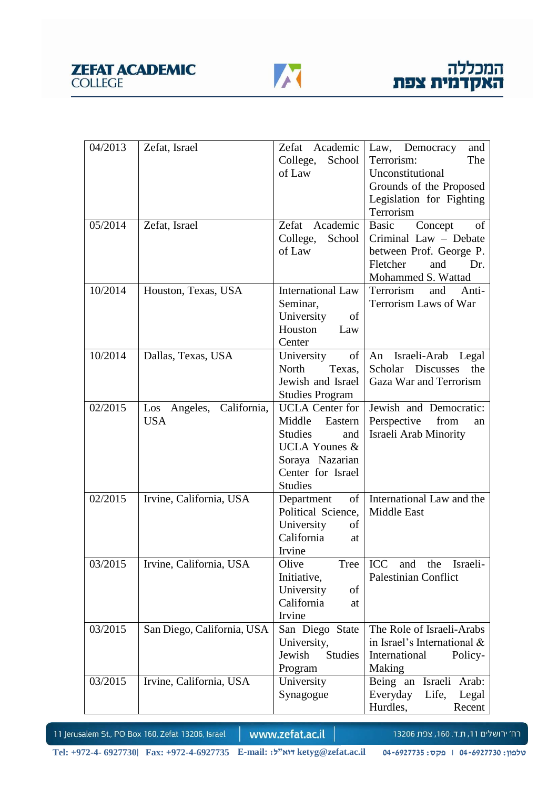

| 04/2013 | Zefat, Israel               | Academic<br>Zefat         | Law, Democracy<br>and         |
|---------|-----------------------------|---------------------------|-------------------------------|
|         |                             | College,<br>School        | Terrorism:<br>The             |
|         |                             | of Law                    | Unconstitutional              |
|         |                             |                           | Grounds of the Proposed       |
|         |                             |                           | Legislation for Fighting      |
|         |                             |                           | Terrorism                     |
| 05/2014 | Zefat, Israel               | Zefat<br>Academic         | Concept<br>of<br><b>Basic</b> |
|         |                             | School<br>College,        | Criminal Law - Debate         |
|         |                             | of Law                    | between Prof. George P.       |
|         |                             |                           | Fletcher<br>and<br>Dr.        |
|         |                             |                           | Mohammed S. Wattad            |
| 10/2014 | Houston, Texas, USA         | <b>International Law</b>  | Terrorism<br>and<br>Anti-     |
|         |                             | Seminar,                  | Terrorism Laws of War         |
|         |                             | University<br>of          |                               |
|         |                             | Houston<br>Law            |                               |
|         |                             | Center                    |                               |
| 10/2014 | Dallas, Texas, USA          | of<br>University          | Israeli-Arab Legal<br>An      |
|         |                             | North<br>Texas,           | Scholar Discusses<br>the      |
|         |                             | Jewish and Israel         | Gaza War and Terrorism        |
|         |                             | <b>Studies Program</b>    |                               |
| 02/2015 | Angeles, California,<br>Los | <b>UCLA</b> Center for    | Jewish and Democratic:        |
|         | <b>USA</b>                  | Middle<br>Eastern         | Perspective<br>from<br>an     |
|         |                             | <b>Studies</b><br>and     | Israeli Arab Minority         |
|         |                             | <b>UCLA Younes &amp;</b>  |                               |
|         |                             | Soraya Nazarian           |                               |
|         |                             | Center for Israel         |                               |
|         |                             | <b>Studies</b>            |                               |
| 02/2015 | Irvine, California, USA     | of<br>Department          | International Law and the     |
|         |                             | Political Science,        | Middle East                   |
|         |                             | University<br>οf          |                               |
|         |                             | California<br>at          |                               |
|         |                             | Irvine                    |                               |
| 03/2015 | Irvine, California, USA     | Olive<br>Tree             | ICC<br>and<br>the<br>Israeli- |
|         |                             | Initiative,<br>of         | <b>Palestinian Conflict</b>   |
|         |                             | University<br>California  |                               |
|         |                             | at                        |                               |
| 03/2015 | San Diego, California, USA  | Irvine<br>San Diego State | The Role of Israeli-Arabs     |
|         |                             | University,               | in Israel's International &   |
|         |                             | Jewish<br><b>Studies</b>  | International<br>Policy-      |
|         |                             | Program                   | Making                        |
| 03/2015 | Irvine, California, USA     | University                | Being an Israeli Arab:        |
|         |                             | Synagogue                 | Everyday<br>Life,<br>Legal    |
|         |                             |                           | Hurdles,<br>Recent            |
|         |                             |                           |                               |

www.zefat.ac.il

רח׳ ירושלים 11, ת.ד. 160, צפת 13206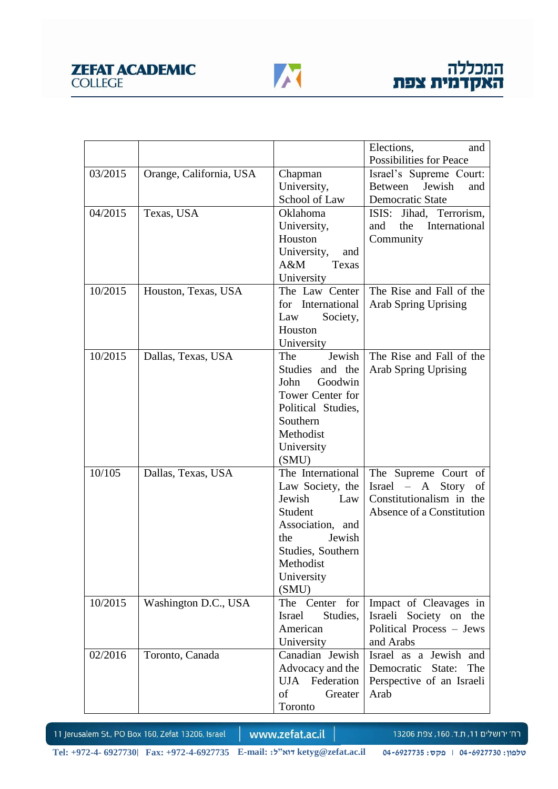

|         |                         |                           | Elections,<br>and                                |
|---------|-------------------------|---------------------------|--------------------------------------------------|
|         |                         |                           | Possibilities for Peace                          |
| 03/2015 | Orange, California, USA | Chapman                   | Israel's Supreme Court:                          |
|         |                         | University,               | Jewish<br>Between<br>and                         |
|         |                         | School of Law             | Democratic State                                 |
| 04/2015 | Texas, USA              | Oklahoma                  | ISIS: Jihad, Terrorism,                          |
|         |                         | University,               | International<br>the<br>and                      |
|         |                         | Houston                   | Community                                        |
|         |                         | University,<br>and        |                                                  |
|         |                         | $A\&M$<br>Texas           |                                                  |
|         |                         | University                |                                                  |
| 10/2015 | Houston, Texas, USA     | The Law Center            | The Rise and Fall of the                         |
|         |                         | for International         | <b>Arab Spring Uprising</b>                      |
|         |                         | Law<br>Society,           |                                                  |
|         |                         | Houston                   |                                                  |
|         |                         | University                |                                                  |
| 10/2015 | Dallas, Texas, USA      | Jewish<br>The             | The Rise and Fall of the                         |
|         |                         | Studies and the           | Arab Spring Uprising                             |
|         |                         | John<br>Goodwin           |                                                  |
|         |                         | Tower Center for          |                                                  |
|         |                         | Political Studies,        |                                                  |
|         |                         | Southern                  |                                                  |
|         |                         | Methodist                 |                                                  |
|         |                         | University                |                                                  |
|         |                         | (SMU)                     |                                                  |
| 10/105  | Dallas, Texas, USA      | The International         | The Supreme Court of                             |
|         |                         | Law Society, the          | $Israel - A Story$<br>of                         |
|         |                         | Jewish<br>Law             | Constitutionalism in the                         |
|         |                         | Student                   | Absence of a Constitution                        |
|         |                         | Association, and          |                                                  |
|         |                         | the<br>Jewish             |                                                  |
|         |                         | Studies, Southern         |                                                  |
|         |                         | Methodist                 |                                                  |
|         |                         | University                |                                                  |
| 10/2015 |                         | (SMU)<br>The Center for   |                                                  |
|         | Washington D.C., USA    | Studies,<br><b>Israel</b> | Impact of Cleavages in<br>Israeli Society on the |
|         |                         | American                  | Political Process - Jews                         |
|         |                         | University                | and Arabs                                        |
| 02/2016 | Toronto, Canada         | Canadian Jewish           | Israel as a Jewish and                           |
|         |                         | Advocacy and the          | The<br>Democratic<br>State:                      |
|         |                         | UJA Federation            | Perspective of an Israeli                        |
|         |                         | of<br>Greater             | Arab                                             |
|         |                         | Toronto                   |                                                  |
|         |                         |                           |                                                  |

www.zefat.ac.il

רח׳ ירושלים 11, ת.ד. 160, צפת 13206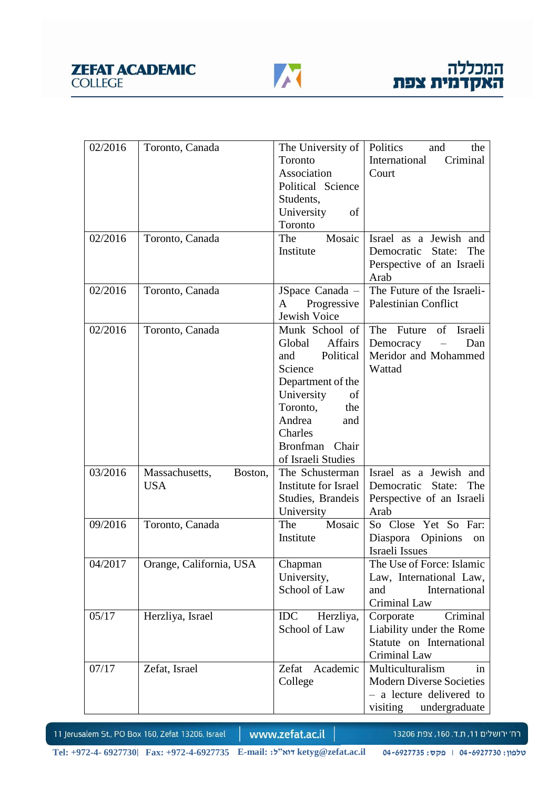

| 02/2016 | Toronto, Canada           | The University of        | Politics<br>and<br>the          |
|---------|---------------------------|--------------------------|---------------------------------|
|         |                           | Toronto                  | International<br>Criminal       |
|         |                           | Association              | Court                           |
|         |                           | Political Science        |                                 |
|         |                           | Students,                |                                 |
|         |                           | University<br>of         |                                 |
|         |                           | Toronto                  |                                 |
| 02/2016 | Toronto, Canada           | Mosaic<br>The            | Israel as a Jewish and          |
|         |                           | Institute                | Democratic State:<br>The        |
|         |                           |                          | Perspective of an Israeli       |
|         |                           |                          | Arab                            |
| 02/2016 | Toronto, Canada           | JSpace Canada -          | The Future of the Israeli-      |
|         |                           | Progressive<br>A         | <b>Palestinian Conflict</b>     |
|         |                           | Jewish Voice             |                                 |
| 02/2016 | Toronto, Canada           | Munk School of           | The Future of Israeli           |
|         |                           | <b>Affairs</b><br>Global | Democracy<br>Dan                |
|         |                           | Political<br>and         | Meridor and Mohammed            |
|         |                           | Science                  | Wattad                          |
|         |                           | Department of the        |                                 |
|         |                           | University<br>of         |                                 |
|         |                           | Toronto,<br>the          |                                 |
|         |                           | Andrea<br>and            |                                 |
|         |                           | Charles                  |                                 |
|         |                           | Bronfman Chair           |                                 |
|         |                           | of Israeli Studies       |                                 |
| 03/2016 | Massachusetts,<br>Boston, | The Schusterman          | Israel as a Jewish and          |
|         | <b>USA</b>                | Institute for Israel     | Democratic<br>State:<br>The     |
|         |                           | Studies, Brandeis        | Perspective of an Israeli       |
|         |                           | University               | Arab                            |
| 09/2016 | Toronto, Canada           | The<br>Mosaic            | So Close Yet So Far:            |
|         |                           | Institute                | Diaspora<br>Opinions<br>on      |
|         |                           |                          | Israeli Issues                  |
| 04/2017 | Orange, California, USA   | Chapman                  | The Use of Force: Islamic       |
|         |                           | University,              | Law, International Law,         |
|         |                           | School of Law            | International<br>and            |
|         |                           |                          | Criminal Law                    |
| 05/17   | Herzliya, Israel          | <b>IDC</b><br>Herzliya,  | Criminal<br>Corporate           |
|         |                           | School of Law            | Liability under the Rome        |
|         |                           |                          | Statute on International        |
|         |                           |                          | Criminal Law                    |
| 07/17   | Zefat, Israel             | Zefat<br>Academic        | Multiculturalism<br>in          |
|         |                           | College                  | <b>Modern Diverse Societies</b> |
|         |                           |                          | - a lecture delivered to        |
|         |                           |                          | undergraduate<br>visiting       |

www.zefat.ac.il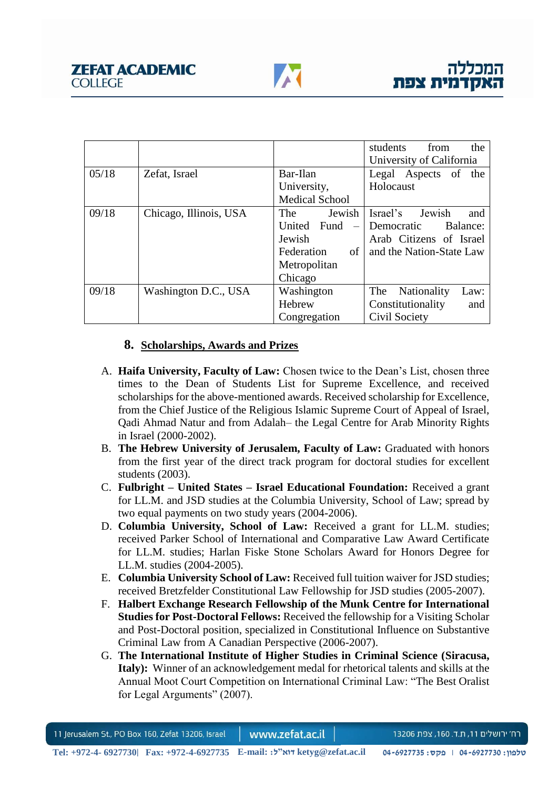|       |                        |                         | the<br>students<br>from           |
|-------|------------------------|-------------------------|-----------------------------------|
|       |                        |                         | University of California          |
| 05/18 | Zefat, Israel          | Bar-Ilan                | Legal Aspects of the              |
|       |                        | University,             | Holocaust                         |
|       |                        | <b>Medical School</b>   |                                   |
| 09/18 | Chicago, Illinois, USA | Jewish<br>The           | Israel's<br>Jewish<br>and         |
|       |                        | United Fund<br>$\equiv$ | Democratic<br>Balance:            |
|       |                        | Jewish                  | Arab Citizens of Israel           |
|       |                        | of<br>Federation        | and the Nation-State Law          |
|       |                        | Metropolitan            |                                   |
|       |                        | Chicago                 |                                   |
| 09/18 | Washington D.C., USA   | Washington              | The<br><b>Nationality</b><br>Law: |
|       |                        | Hebrew                  | Constitutionality<br>and          |
|       |                        | Congregation            | Civil Society                     |

# **8. Scholarships, Awards and Prizes**

- A. **Haifa University, Faculty of Law:** Chosen twice to the Dean's List, chosen three times to the Dean of Students List for Supreme Excellence, and received scholarships for the above-mentioned awards. Received scholarship for Excellence, from the Chief Justice of the Religious Islamic Supreme Court of Appeal of Israel, Qadi Ahmad Natur and from Adalah– the Legal Centre for Arab Minority Rights in Israel (2000-2002).
- B. **The Hebrew University of Jerusalem, Faculty of Law:** Graduated with honors from the first year of the direct track program for doctoral studies for excellent students (2003).
- C. **Fulbright – United States – Israel Educational Foundation:** Received a grant for LL.M. and JSD studies at the Columbia University, School of Law; spread by two equal payments on two study years (2004-2006).
- D. **Columbia University, School of Law:** Received a grant for LL.M. studies; received Parker School of International and Comparative Law Award Certificate for LL.M. studies; Harlan Fiske Stone Scholars Award for Honors Degree for LL.M. studies (2004-2005).
- E. **Columbia University School of Law:** Received full tuition waiver for JSD studies; received Bretzfelder Constitutional Law Fellowship for JSD studies (2005-2007).
- F. **Halbert Exchange Research Fellowship of the Munk Centre for International Studies for Post-Doctoral Fellows:** Received the fellowship for a Visiting Scholar and Post-Doctoral position, specialized in Constitutional Influence on Substantive Criminal Law from A Canadian Perspective (2006-2007).
- G. **The International Institute of Higher Studies in Criminal Science (Siracusa, Italy):** Winner of an acknowledgement medal for rhetorical talents and skills at the Annual Moot Court Competition on International Criminal Law: "The Best Oralist for Legal Arguments" (2007).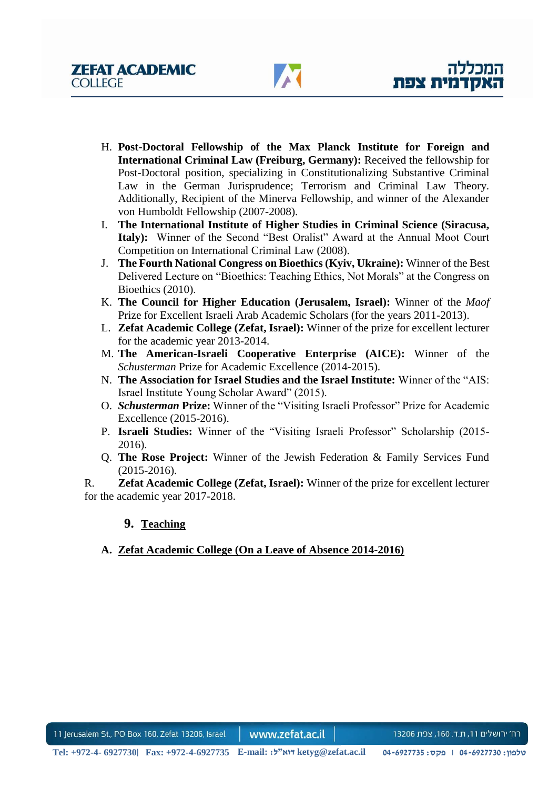- H. **Post-Doctoral Fellowship of the Max Planck Institute for Foreign and International Criminal Law (Freiburg, Germany):** Received the fellowship for Post-Doctoral position, specializing in Constitutionalizing Substantive Criminal Law in the German Jurisprudence; Terrorism and Criminal Law Theory. Additionally, Recipient of the Minerva Fellowship, and winner of the Alexander von Humboldt Fellowship (2007-2008).
- I. **The International Institute of Higher Studies in Criminal Science (Siracusa, Italy):** Winner of the Second "Best Oralist" Award at the Annual Moot Court Competition on International Criminal Law (2008).
- J. **The Fourth National Congress on Bioethics (Kyiv, Ukraine):** Winner of the Best Delivered Lecture on "Bioethics: Teaching Ethics, Not Morals" at the Congress on Bioethics (2010).
- K. **The Council for Higher Education (Jerusalem, Israel):** Winner of the *Maof* Prize for Excellent Israeli Arab Academic Scholars (for the years 2011-2013).
- L. **Zefat Academic College (Zefat, Israel):** Winner of the prize for excellent lecturer for the academic year 2013-2014.
- M. **The American-Israeli Cooperative Enterprise (AICE):** Winner of the *Schusterman* Prize for Academic Excellence (2014-2015).
- N. **The Association for Israel Studies and the Israel Institute:** Winner of the "AIS: Israel Institute Young Scholar Award" (2015).
- O. *Schusterman* **Prize:** Winner of the "Visiting Israeli Professor" Prize for Academic Excellence (2015-2016).
- P. **Israeli Studies:** Winner of the "Visiting Israeli Professor" Scholarship (2015- 2016).
- Q. **The Rose Project:** Winner of the Jewish Federation & Family Services Fund (2015-2016).

R. **Zefat Academic College (Zefat, Israel):** Winner of the prize for excellent lecturer for the academic year 2017-2018.

## **9. Teaching**

# **A. Zefat Academic College (On a Leave of Absence 2014-2016)**

11 Jerusalem St., PO Box 160, Zefat 13206, Israel www.zefat.ac.il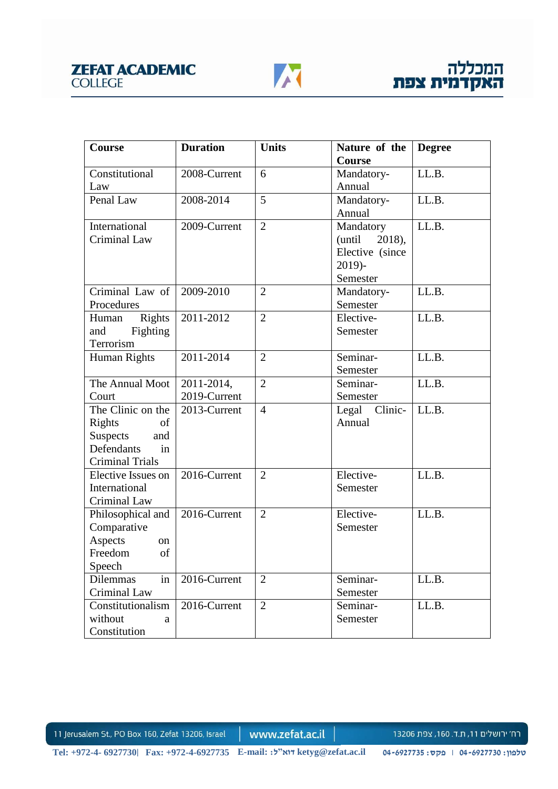

| Course                 | <b>Duration</b> | <b>Units</b>   | Nature of the       | <b>Degree</b> |
|------------------------|-----------------|----------------|---------------------|---------------|
|                        |                 |                | Course              |               |
| Constitutional         | 2008-Current    | 6              | Mandatory-          | LL.B.         |
| Law                    |                 |                | Annual              |               |
| Penal Law              | 2008-2014       | 5              | Mandatory-          | LL.B.         |
|                        |                 |                | Annual              |               |
| International          | 2009-Current    | $\overline{2}$ | Mandatory           | LL.B.         |
| Criminal Law           |                 |                | $2018$ ,<br>(until) |               |
|                        |                 |                | Elective (since     |               |
|                        |                 |                | $2019$ )-           |               |
|                        |                 |                | Semester            |               |
| Criminal Law of        | 2009-2010       | $\overline{2}$ | Mandatory-          | LL.B.         |
| Procedures             |                 |                | Semester            |               |
| Rights<br>Human        | 2011-2012       | $\overline{2}$ | Elective-           | LL.B.         |
| and<br><b>Fighting</b> |                 |                | Semester            |               |
| Terrorism              |                 |                |                     |               |
| Human Rights           | 2011-2014       | $\overline{2}$ | Seminar-            | LL.B.         |
|                        |                 |                | Semester            |               |
| The Annual Moot        | 2011-2014,      | $\overline{2}$ | Seminar-            | LL.B.         |
| Court                  | 2019-Current    |                | Semester            |               |
| The Clinic on the      | 2013-Current    | $\overline{4}$ | Legal Clinic-       | LL.B.         |
| Rights<br>of           |                 |                | Annual              |               |
| <b>Suspects</b><br>and |                 |                |                     |               |
| Defendants<br>in       |                 |                |                     |               |
| <b>Criminal Trials</b> |                 |                |                     |               |
| Elective Issues on     | 2016-Current    | $\overline{2}$ | Elective-           | LL.B.         |
| International          |                 |                | Semester            |               |
| Criminal Law           |                 |                |                     |               |
| Philosophical and      | 2016-Current    | $\overline{2}$ | Elective-           | LL.B.         |
| Comparative            |                 |                | Semester            |               |
| Aspects<br>on          |                 |                |                     |               |
| Freedom<br>of          |                 |                |                     |               |
| Speech                 |                 |                |                     |               |
| Dilemmas<br>in         | 2016-Current    | $\overline{2}$ | Seminar-            | LL.B.         |
| Criminal Law           |                 |                | Semester            |               |
| Constitutionalism      | 2016-Current    | $\overline{2}$ | Seminar-            | LL.B.         |
| without<br>a           |                 |                | Semester            |               |
| Constitution           |                 |                |                     |               |

www.zefat.ac.il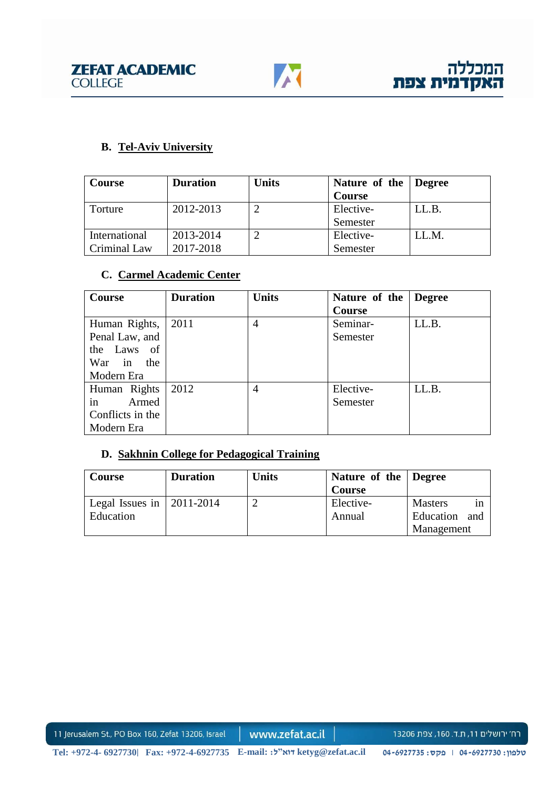

# **B. Tel-Aviv University**

| <b>Course</b> | <b>Duration</b> | <b>Units</b> | Nature of the Degree |       |
|---------------|-----------------|--------------|----------------------|-------|
|               |                 |              | <b>Course</b>        |       |
| Torture       | 2012-2013       |              | Elective-            | LL.B. |
|               |                 |              | Semester             |       |
| International | 2013-2014       |              | Elective-            | LL.M. |
| Criminal Law  | 2017-2018       |              | Semester             |       |

# **C. Carmel Academic Center**

| <b>Course</b>    | <b>Duration</b> | <b>Units</b>   | Nature of the | <b>Degree</b> |
|------------------|-----------------|----------------|---------------|---------------|
|                  |                 |                | <b>Course</b> |               |
| Human Rights,    | 2011            | 4              | Seminar-      | LL.B.         |
| Penal Law, and   |                 |                | Semester      |               |
| the Laws of      |                 |                |               |               |
| War<br>the<br>in |                 |                |               |               |
| Modern Era       |                 |                |               |               |
| Human Rights     | 2012            | $\overline{4}$ | Elective-     | LL.B.         |
| in<br>Armed      |                 |                | Semester      |               |
| Conflicts in the |                 |                |               |               |
| Modern Era       |                 |                |               |               |

# **D. Sakhnin College for Pedagogical Training**

| Course                            | <b>Duration</b> | <b>Units</b> | Nature of the Degree<br><b>Course</b> |                                 |
|-----------------------------------|-----------------|--------------|---------------------------------------|---------------------------------|
| Legal Issues in $\vert$ 2011-2014 |                 |              | Elective-                             | <b>Masters</b><br><sub>in</sub> |
| <b>Education</b>                  |                 |              | Annual                                | Education<br>and                |
|                                   |                 |              |                                       | Management                      |

11 Jerusalem St., PO Box 160, Zefat 13206, Israel

www.zefat.ac.il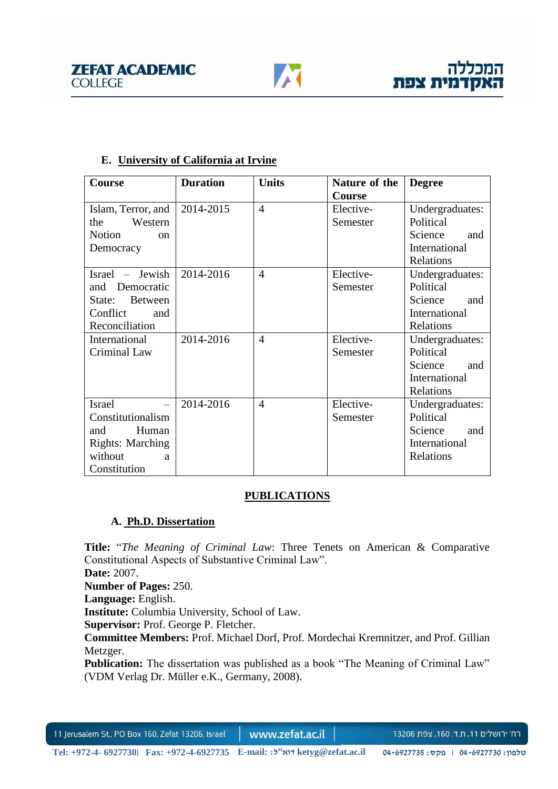



## **E. University of California at Irvine**

| Course                         | <b>Duration</b> | <b>Units</b>   | Nature of the | <b>Degree</b>   |
|--------------------------------|-----------------|----------------|---------------|-----------------|
|                                |                 |                | <b>Course</b> |                 |
| Islam, Terror, and             | 2014-2015       | $\overline{4}$ | Elective-     | Undergraduates: |
| Western<br>the                 |                 |                | Semester      | Political       |
| <b>Notion</b><br><sub>on</sub> |                 |                |               | Science<br>and  |
| Democracy                      |                 |                |               | International   |
|                                |                 |                |               | Relations       |
| Israel – Jewish                | 2014-2016       | 4              | Elective-     | Undergraduates: |
| and Democratic                 |                 |                | Semester      | Political       |
| <b>Between</b><br>State:       |                 |                |               | Science<br>and  |
| Conflict<br>and                |                 |                |               | International   |
| Reconciliation                 |                 |                |               | Relations       |
| International                  | 2014-2016       | 4              | Elective-     | Undergraduates: |
| Criminal Law                   |                 |                | Semester      | Political       |
|                                |                 |                |               | Science<br>and  |
|                                |                 |                |               | International   |
|                                |                 |                |               | Relations       |
| <b>Israel</b>                  | 2014-2016       | $\overline{4}$ | Elective-     | Undergraduates: |
| Constitutionalism              |                 |                | Semester      | Political       |
| Human<br>and                   |                 |                |               | Science<br>and  |
| <b>Rights: Marching</b>        |                 |                |               | International   |
| without<br>a                   |                 |                |               | Relations       |
| Constitution                   |                 |                |               |                 |

### **PUBLICATIONS**

## **A. Ph.D. Dissertation**

**Title:** "*The Meaning of Criminal Law*: Three Tenets on American & Comparative Constitutional Aspects of Substantive Criminal Law".

**Date:** 2007.

**Number of Pages:** 250.

**Language:** English.

**Institute:** Columbia University, School of Law.

**Supervisor:** Prof. George P. Fletcher.

**Committee Members:** Prof. Michael Dorf, Prof. Mordechai Kremnitzer, and Prof. Gillian Metzger.

**Publication:** The dissertation was published as a book "The Meaning of Criminal Law" (VDM Verlag Dr. Müller e.K., Germany, 2008).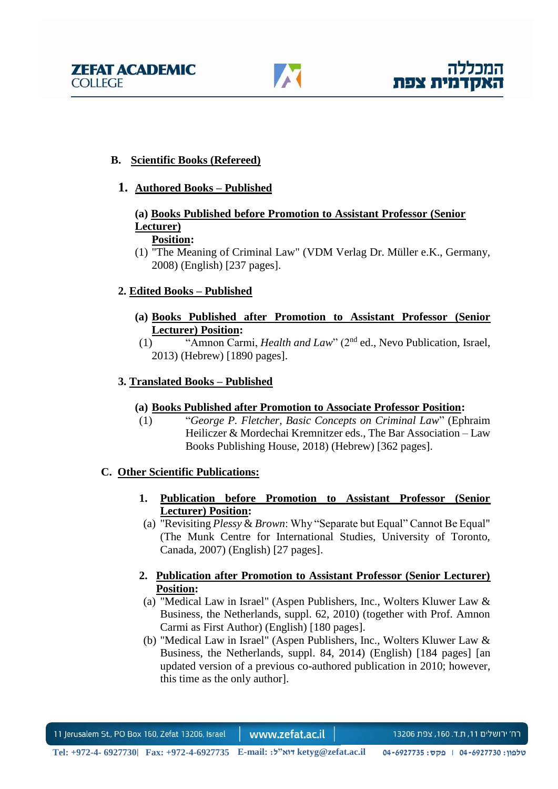



## **B. Scientific Books (Refereed)**

### **1. Authored Books – Published**

#### **(a) Books Published before Promotion to Assistant Professor (Senior Lecturer) Position:**

(1) "The Meaning of Criminal Law" (VDM Verlag Dr. Müller e.K., Germany, 2008) (English) [237 pages].

## **2. Edited Books – Published**

- **(a) Books Published after Promotion to Assistant Professor (Senior Lecturer) Position:**
- (1) "Amnon Carmi, *Health and Law*" (2nd ed., Nevo Publication, Israel, 2013) (Hebrew) [1890 pages].

### **3. Translated Books – Published**

### **(a) Books Published after Promotion to Associate Professor Position:**

(1) "*George P. Fletcher, Basic Concepts on Criminal Law*" (Ephraim Heiliczer & Mordechai Kremnitzer eds., The Bar Association – Law Books Publishing House, 2018) (Hebrew) [362 pages].

### **C. Other Scientific Publications:**

- **1. Publication before Promotion to Assistant Professor (Senior Lecturer) Position:**
- (a) "Revisiting *Plessy* & *Brown*: Why "Separate but Equal" Cannot Be Equal" (The Munk Centre for International Studies, University of Toronto, Canada, 2007) (English) [27 pages].

## **2. Publication after Promotion to Assistant Professor (Senior Lecturer) Position:**

- (a) "Medical Law in Israel" (Aspen Publishers, Inc., Wolters Kluwer Law & Business, the Netherlands, suppl. 62, 2010) (together with Prof. Amnon Carmi as First Author) (English) [180 pages].
- (b) "Medical Law in Israel" (Aspen Publishers, Inc., Wolters Kluwer Law & Business, the Netherlands, suppl. 84, 2014) (English) [184 pages] [an updated version of a previous co-authored publication in 2010; however, this time as the only author].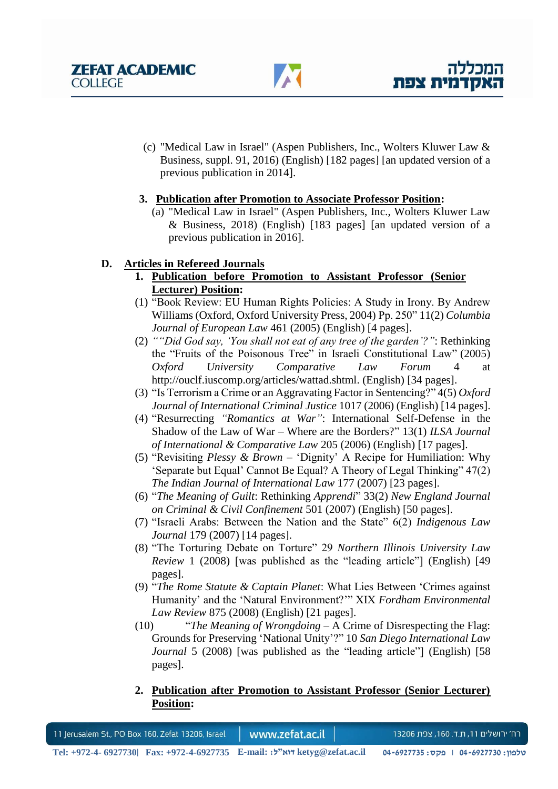

(c) "Medical Law in Israel" (Aspen Publishers, Inc., Wolters Kluwer Law & Business, suppl. 91, 2016) (English) [182 pages] [an updated version of a previous publication in 2014].

## **3. Publication after Promotion to Associate Professor Position:**

(a) "Medical Law in Israel" (Aspen Publishers, Inc., Wolters Kluwer Law & Business, 2018) (English) [183 pages] [an updated version of a previous publication in 2016].

# **D. Articles in Refereed Journals**

- **1. Publication before Promotion to Assistant Professor (Senior Lecturer) Position:**
- (1) "Book Review: EU Human Rights Policies: A Study in Irony. By Andrew Williams (Oxford, Oxford University Press, 2004) Pp. 250" 11(2) *Columbia Journal of European Law* 461 (2005) (English) [4 pages].
- (2) *""Did God say, 'You shall not eat of any tree of the garden'?"*: Rethinking the "Fruits of the Poisonous Tree" in Israeli Constitutional Law" (2005) *Oxford University Comparative Law Forum* 4 at http://ouclf.iuscomp.org/articles/wattad.shtml. (English) [34 pages].
- (3) "Is Terrorism a Crime or an Aggravating Factor in Sentencing?" 4(5) *Oxford Journal of International Criminal Justice* 1017 (2006) (English) [14 pages].
- (4) "Resurrecting *"Romantics at War"*: International Self-Defense in the Shadow of the Law of War – Where are the Borders?" 13(1) *ILSA Journal of International & Comparative Law* 205 (2006) (English) [17 pages].
- (5) "Revisiting *Plessy & Brown* 'Dignity' A Recipe for Humiliation: Why 'Separate but Equal' Cannot Be Equal? A Theory of Legal Thinking" 47(2) *The Indian Journal of International Law* 177 (2007) [23 pages].
- (6) "*The Meaning of Guilt*: Rethinking *Apprendi*" 33(2) *New England Journal on Criminal & Civil Confinement* 501 (2007) (English) [50 pages].
- (7) "Israeli Arabs: Between the Nation and the State" 6(2) *Indigenous Law Journal* 179 (2007) [14 pages].
- (8) "The Torturing Debate on Torture" 29 *Northern Illinois University Law Review* 1 (2008) [was published as the "leading article"] (English) [49 pages].
- (9) "*The Rome Statute & Captain Planet*: What Lies Between 'Crimes against Humanity' and the 'Natural Environment?'" XIX *Fordham Environmental Law Review* 875 (2008) (English) [21 pages].
- (10) "*The Meaning of Wrongdoing*  A Crime of Disrespecting the Flag: Grounds for Preserving 'National Unity'?" 10 *San Diego International Law Journal* 5 (2008) [was published as the "leading article"] (English) [58 pages].
- **2. Publication after Promotion to Assistant Professor (Senior Lecturer) Position:**

11 Jerusalem St., PO Box 160, Zefat 13206, Israel www.zefat.ac.il רח׳ ירושלים 11, ת.ד. 160, צפת 13206 **Tel: +972-4- 6927730| Fax: +972-4-6927735 E-mail: :ל"דוא ketyg@zefat.ac.il 04-6927735 :פקס | 04-6927730 :טלפון**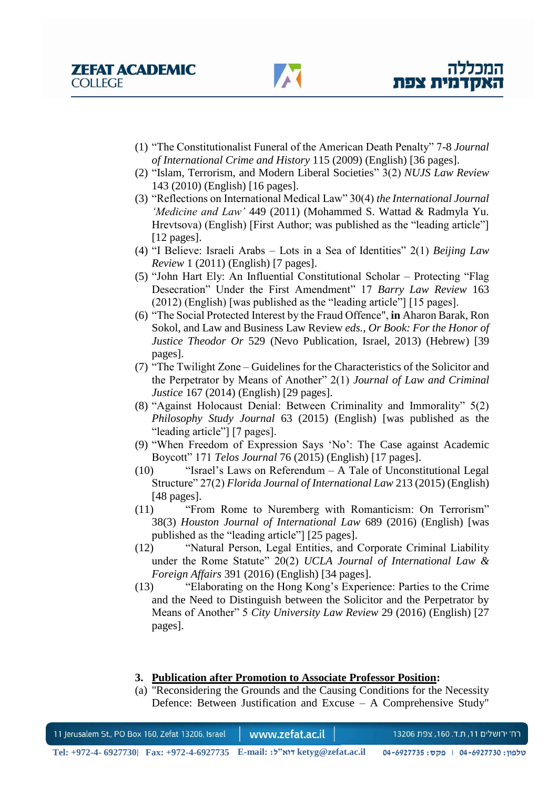- (1) "The Constitutionalist Funeral of the American Death Penalty" 7-8 *Journal of International Crime and History* 115 (2009) (English) [36 pages].
- (2) "Islam, Terrorism, and Modern Liberal Societies" 3(2) *NUJS Law Review* 143 (2010) (English) [16 pages].
- (3) "Reflections on International Medical Law" 30(4) *the International Journal 'Medicine and Law'* 449 (2011) (Mohammed S. Wattad & Radmyla Yu. Hrevtsova) (English) [First Author; was published as the "leading article"] [12 pages].
- (4) "I Believe: Israeli Arabs Lots in a Sea of Identities" 2(1) *Beijing Law Review* 1 (2011) (English) [7 pages].
- (5) "John Hart Ely: An Influential Constitutional Scholar Protecting "Flag Desecration" Under the First Amendment" 17 *Barry Law Review* 163 (2012) (English) [was published as the "leading article"] [15 pages].
- (6) "The Social Protected Interest by the Fraud Offence", **in** Aharon Barak, Ron Sokol, and Law and Business Law Review *eds.*, *Or Book: For the Honor of Justice Theodor Or* 529 (Nevo Publication, Israel, 2013) (Hebrew) [39 pages].
- (7) "The Twilight Zone Guidelines for the Characteristics of the Solicitor and the Perpetrator by Means of Another" 2(1) *Journal of Law and Criminal Justice* 167 (2014) (English) [29 pages].
- (8) "Against Holocaust Denial: Between Criminality and Immorality" 5(2) *Philosophy Study Journal* 63 (2015) (English) [was published as the "leading article"] [7 pages].
- (9) "When Freedom of Expression Says 'No': The Case against Academic Boycott" 171 *Telos Journal* 76 (2015) (English) [17 pages].
- (10) "Israel's Laws on Referendum A Tale of Unconstitutional Legal Structure" 27(2) *Florida Journal of International Law* 213 (2015) (English) [48 pages].
- (11) "From Rome to Nuremberg with Romanticism: On Terrorism" 38(3) *Houston Journal of International Law* 689 (2016) (English) [was published as the "leading article"] [25 pages].
- (12) "Natural Person, Legal Entities, and Corporate Criminal Liability under the Rome Statute" 20(2) *UCLA Journal of International Law & Foreign Affairs* 391 (2016) (English) [34 pages].
- (13) "Elaborating on the Hong Kong's Experience: Parties to the Crime and the Need to Distinguish between the Solicitor and the Perpetrator by Means of Another" 5 *City University Law Review* 29 (2016) (English) [27 pages].

### **3. Publication after Promotion to Associate Professor Position:**

(a) "Reconsidering the Grounds and the Causing Conditions for the Necessity Defence: Between Justification and Excuse – A Comprehensive Study"

| 11 Jerusalem St., PO Box 160, Zefat 13206, Israel                                                  | www.zefat.ac.il | רח׳ ירושלים 11, ת.ד. 160, צפת 13206 |
|----------------------------------------------------------------------------------------------------|-----------------|-------------------------------------|
| Tel: +972-4- 6927730 Fax: +972-4-6927735 E-mail: לאוייל: https: +972-4-6927730 Fax: +972-4-6927735 |                 | טלפון: 04-6927730 ∣ פקס: 04-6927735 |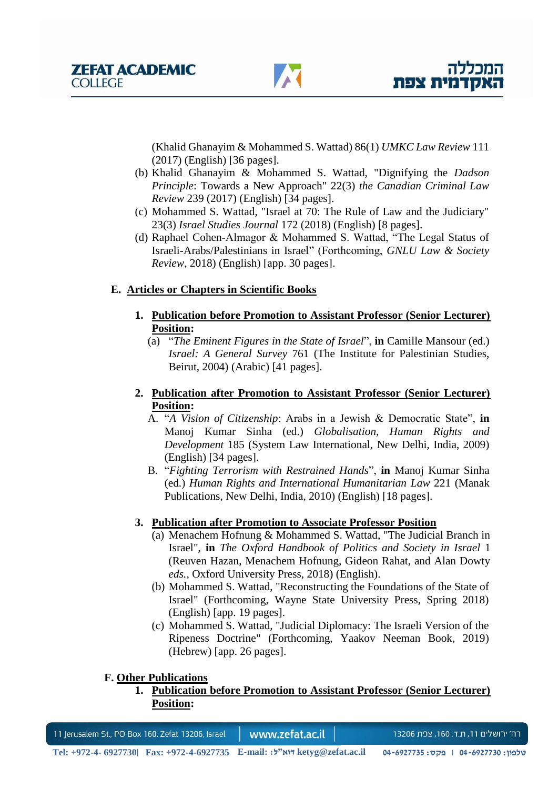(Khalid Ghanayim & Mohammed S. Wattad) 86(1) *UMKC Law Review* 111 (2017) (English) [36 pages].

- (b) Khalid Ghanayim & Mohammed S. Wattad, "Dignifying the *Dadson Principle*: Towards a New Approach" 22(3) *the Canadian Criminal Law Review* 239 (2017) (English) [34 pages].
- (c) Mohammed S. Wattad, "Israel at 70: The Rule of Law and the Judiciary" 23(3) *Israel Studies Journal* 172 (2018) (English) [8 pages].
- (d) Raphael Cohen-Almagor & Mohammed S. Wattad, "The Legal Status of Israeli-Arabs/Palestinians in Israel" (Forthcoming, *GNLU Law & Society Review*, 2018) (English) [app. 30 pages].

## **E. Articles or Chapters in Scientific Books**

- **1. Publication before Promotion to Assistant Professor (Senior Lecturer) Position:**
	- (a) "*The Eminent Figures in the State of Israel*", **in** Camille Mansour (ed.) *Israel: A General Survey* 761 (The Institute for Palestinian Studies, Beirut, 2004) (Arabic) [41 pages].
- **2. Publication after Promotion to Assistant Professor (Senior Lecturer) Position:**
	- A. "*A Vision of Citizenship*: Arabs in a Jewish & Democratic State", **in** Manoj Kumar Sinha (ed.) *Globalisation, Human Rights and Development* 185 (System Law International, New Delhi, India, 2009) (English) [34 pages].
	- B. "*Fighting Terrorism with Restrained Hands*", **in** Manoj Kumar Sinha (ed.) *Human Rights and International Humanitarian Law* 221 (Manak Publications, New Delhi, India, 2010) (English) [18 pages].

## **3. Publication after Promotion to Associate Professor Position**

- (a) Menachem Hofnung & Mohammed S. Wattad, "The Judicial Branch in Israel", **in** *The Oxford Handbook of Politics and Society in Israel* 1 (Reuven Hazan, Menachem Hofnung, Gideon Rahat, and Alan Dowty *eds.*, Oxford University Press, 2018) (English).
- (b) Mohammed S. Wattad, "Reconstructing the Foundations of the State of Israel" (Forthcoming, Wayne State University Press, Spring 2018) (English) [app. 19 pages].
- (c) Mohammed S. Wattad, "Judicial Diplomacy: The Israeli Version of the Ripeness Doctrine" (Forthcoming, Yaakov Neeman Book, 2019) (Hebrew) [app. 26 pages].

### **F. Other Publications**

**1. Publication before Promotion to Assistant Professor (Senior Lecturer) Position:**

| 11 Jerusalem St., PO Box 160, Zefat 13206, Israel |  | www.zefat.ac.il                                                           | רח׳ ירושלים 11, ת.ד. 160, צפת 13206 |
|---------------------------------------------------|--|---------------------------------------------------------------------------|-------------------------------------|
|                                                   |  | Tel: +972-4- 6927730 Fax: +972-4-6927735 E-mail: אוא"ל: httpg@zefat.ac.il | טלפון: 04-6927730 ∣ פקס: 04-6927735 |